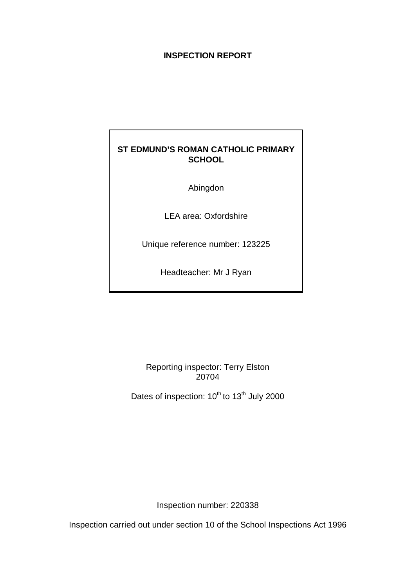# **INSPECTION REPORT**

# **ST EDMUND'S ROMAN CATHOLIC PRIMARY SCHOOL**

Abingdon

LEA area: Oxfordshire

Unique reference number: 123225

Headteacher: Mr J Ryan

Reporting inspector: Terry Elston 20704

Dates of inspection: 10<sup>th</sup> to 13<sup>th</sup> July 2000

Inspection number: 220338

Inspection carried out under section 10 of the School Inspections Act 1996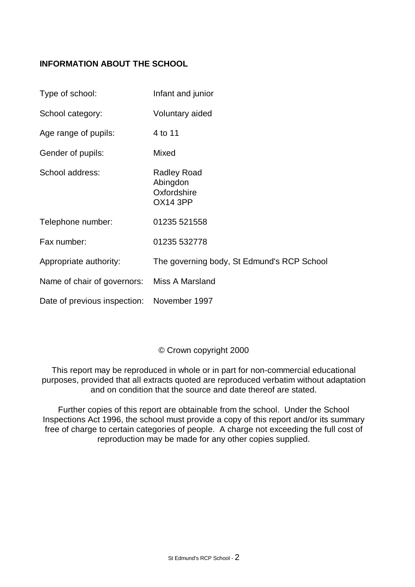# **INFORMATION ABOUT THE SCHOOL**

| Type of school:                            | Infant and junior                                                |
|--------------------------------------------|------------------------------------------------------------------|
| School category:                           | Voluntary aided                                                  |
| Age range of pupils:                       | 4 to 11                                                          |
| Gender of pupils:                          | Mixed                                                            |
| School address:                            | <b>Radley Road</b><br>Abingdon<br>Oxfordshire<br><b>OX14 3PP</b> |
| Telephone number:                          | 01235 521558                                                     |
| Fax number:                                | 01235 532778                                                     |
| Appropriate authority:                     | The governing body, St Edmund's RCP School                       |
| Name of chair of governors:                | Miss A Marsland                                                  |
| Date of previous inspection: November 1997 |                                                                  |

# © Crown copyright 2000

This report may be reproduced in whole or in part for non-commercial educational purposes, provided that all extracts quoted are reproduced verbatim without adaptation and on condition that the source and date thereof are stated.

Further copies of this report are obtainable from the school. Under the School Inspections Act 1996, the school must provide a copy of this report and/or its summary free of charge to certain categories of people. A charge not exceeding the full cost of reproduction may be made for any other copies supplied.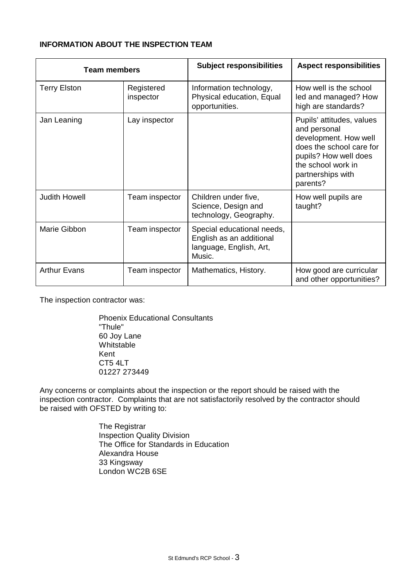# **INFORMATION ABOUT THE INSPECTION TEAM**

| <b>Team members</b>  |                         | <b>Subject responsibilities</b>                                                             | <b>Aspect responsibilities</b>                                                                                                                                                 |
|----------------------|-------------------------|---------------------------------------------------------------------------------------------|--------------------------------------------------------------------------------------------------------------------------------------------------------------------------------|
| <b>Terry Elston</b>  | Registered<br>inspector | Information technology,<br>Physical education, Equal<br>opportunities.                      | How well is the school<br>led and managed? How<br>high are standards?                                                                                                          |
| Jan Leaning          | Lay inspector           |                                                                                             | Pupils' attitudes, values<br>and personal<br>development. How well<br>does the school care for<br>pupils? How well does<br>the school work in<br>partnerships with<br>parents? |
| <b>Judith Howell</b> | Team inspector          | Children under five,<br>Science, Design and<br>technology, Geography.                       | How well pupils are<br>taught?                                                                                                                                                 |
| Marie Gibbon         | Team inspector          | Special educational needs,<br>English as an additional<br>language, English, Art,<br>Music. |                                                                                                                                                                                |
| <b>Arthur Evans</b>  | Team inspector          | Mathematics, History.                                                                       | How good are curricular<br>and other opportunities?                                                                                                                            |

The inspection contractor was:

Phoenix Educational Consultants "Thule" 60 Joy Lane Whitstable Kent CT5 4LT 01227 273449

Any concerns or complaints about the inspection or the report should be raised with the inspection contractor. Complaints that are not satisfactorily resolved by the contractor should be raised with OFSTED by writing to:

> The Registrar Inspection Quality Division The Office for Standards in Education Alexandra House 33 Kingsway London WC2B 6SE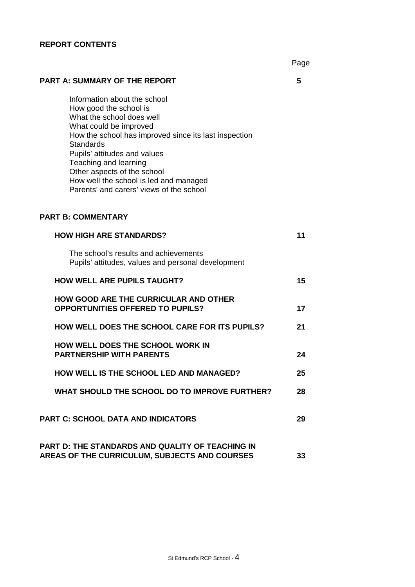# **REPORT CONTENTS**

|                                                                                                                                                                                                                                                                                                                                                                          | Page |
|--------------------------------------------------------------------------------------------------------------------------------------------------------------------------------------------------------------------------------------------------------------------------------------------------------------------------------------------------------------------------|------|
| <b>PART A: SUMMARY OF THE REPORT</b>                                                                                                                                                                                                                                                                                                                                     | 5    |
| Information about the school<br>How good the school is<br>What the school does well<br>What could be improved<br>How the school has improved since its last inspection<br><b>Standards</b><br>Pupils' attitudes and values<br>Teaching and learning<br>Other aspects of the school<br>How well the school is led and managed<br>Parents' and carers' views of the school |      |
| <b>PART B: COMMENTARY</b>                                                                                                                                                                                                                                                                                                                                                |      |
| <b>HOW HIGH ARE STANDARDS?</b>                                                                                                                                                                                                                                                                                                                                           | 11   |
| The school's results and achievements<br>Pupils' attitudes, values and personal development                                                                                                                                                                                                                                                                              |      |
| <b>HOW WELL ARE PUPILS TAUGHT?</b>                                                                                                                                                                                                                                                                                                                                       | 15   |
| <b>HOW GOOD ARE THE CURRICULAR AND OTHER</b><br><b>OPPORTUNITIES OFFERED TO PUPILS?</b>                                                                                                                                                                                                                                                                                  | 17   |
| <b>HOW WELL DOES THE SCHOOL CARE FOR ITS PUPILS?</b>                                                                                                                                                                                                                                                                                                                     | 21   |
| <b>HOW WELL DOES THE SCHOOL WORK IN</b><br><b>PARTNERSHIP WITH PARENTS</b>                                                                                                                                                                                                                                                                                               | 24   |
| <b>HOW WELL IS THE SCHOOL LED AND MANAGED?</b>                                                                                                                                                                                                                                                                                                                           | 25   |
| WHAT SHOULD THE SCHOOL DO TO IMPROVE FURTHER?                                                                                                                                                                                                                                                                                                                            | 28   |
| <b>PART C: SCHOOL DATA AND INDICATORS</b>                                                                                                                                                                                                                                                                                                                                | 29   |
| PART D: THE STANDARDS AND QUALITY OF TEACHING IN<br>AREAS OF THE CURRICULUM, SUBJECTS AND COURSES                                                                                                                                                                                                                                                                        | 33   |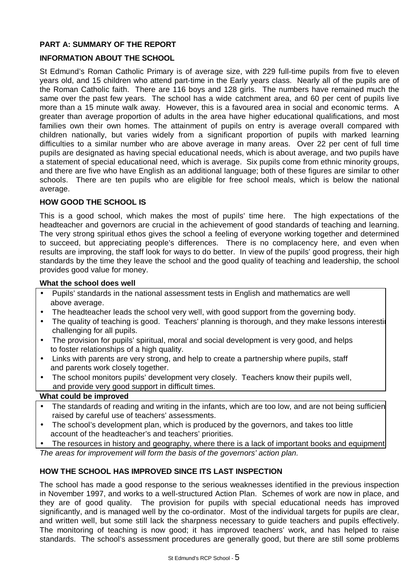# **PART A: SUMMARY OF THE REPORT**

# **INFORMATION ABOUT THE SCHOOL**

St Edmund's Roman Catholic Primary is of average size, with 229 full-time pupils from five to eleven years old, and 15 children who attend part-time in the Early years class. Nearly all of the pupils are of the Roman Catholic faith. There are 116 boys and 128 girls. The numbers have remained much the same over the past few years. The school has a wide catchment area, and 60 per cent of pupils live more than a 15 minute walk away. However, this is a favoured area in social and economic terms. A greater than average proportion of adults in the area have higher educational qualifications, and most families own their own homes. The attainment of pupils on entry is average overall compared with children nationally, but varies widely from a significant proportion of pupils with marked learning difficulties to a similar number who are above average in many areas. Over 22 per cent of full time pupils are designated as having special educational needs, which is about average, and two pupils have a statement of special educational need, which is average. Six pupils come from ethnic minority groups, and there are five who have English as an additional language; both of these figures are similar to other schools. There are ten pupils who are eligible for free school meals, which is below the national average.

# **HOW GOOD THE SCHOOL IS**

This is a good school, which makes the most of pupils' time here. The high expectations of the headteacher and governors are crucial in the achievement of good standards of teaching and learning. The very strong spiritual ethos gives the school a feeling of everyone working together and determined to succeed, but appreciating people's differences. There is no complacency here, and even when results are improving, the staff look for ways to do better. In view of the pupils' good progress, their high standards by the time they leave the school and the good quality of teaching and leadership, the school provides good value for money.

### **What the school does well**

- Pupils' standards in the national assessment tests in English and mathematics are well above average.
- The headteacher leads the school very well, with good support from the governing body.
- The quality of teaching is good. Teachers' planning is thorough, and they make lessons interesting challenging for all pupils.
- The provision for pupils' spiritual, moral and social development is very good, and helps to foster relationships of a high quality.
- Links with parents are very strong, and help to create a partnership where pupils, staff and parents work closely together.
- The school monitors pupils' development very closely. Teachers know their pupils well, and provide very good support in difficult times.

#### **What could be improved**

- The standards of reading and writing in the infants, which are too low, and are not being sufficien raised by careful use of teachers' assessments.
- The school's development plan, which is produced by the governors, and takes too little account of the headteacher's and teachers' priorities.
- The resources in history and geography, where there is a lack of important books and equipment. *The areas for improvement will form the basis of the governors' action plan.*

# **HOW THE SCHOOL HAS IMPROVED SINCE ITS LAST INSPECTION**

The school has made a good response to the serious weaknesses identified in the previous inspection in November 1997, and works to a well-structured Action Plan. Schemes of work are now in place, and they are of good quality. The provision for pupils with special educational needs has improved significantly, and is managed well by the co-ordinator. Most of the individual targets for pupils are clear, and written well, but some still lack the sharpness necessary to guide teachers and pupils effectively. The monitoring of teaching is now good; it has improved teachers' work, and has helped to raise standards. The school's assessment procedures are generally good, but there are still some problems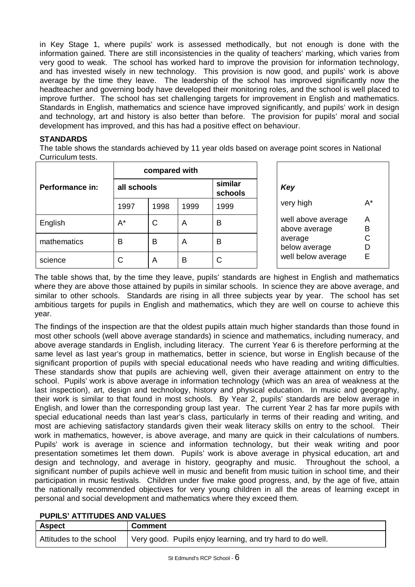in Key Stage 1, where pupils' work is assessed methodically, but not enough is done with the information gained. There are still inconsistencies in the quality of teachers' marking, which varies from very good to weak. The school has worked hard to improve the provision for information technology, and has invested wisely in new technology. This provision is now good, and pupils' work is above average by the time they leave. The leadership of the school has improved significantly now the headteacher and governing body have developed their monitoring roles, and the school is well placed to improve further. The school has set challenging targets for improvement in English and mathematics. Standards in English, mathematics and science have improved significantly, and pupils' work in design and technology, art and history is also better than before. The provision for pupils' moral and social development has improved, and this has had a positive effect on behaviour.

# **STANDARDS**

The table shows the standards achieved by 11 year olds based on average point scores in National Curriculum tests.

|                 | compared with |      |                    |      |                                     |
|-----------------|---------------|------|--------------------|------|-------------------------------------|
| Performance in: | all schools   |      | similar<br>schools | Key  |                                     |
|                 | 1997          | 1998 | 1999               | 1999 | very high                           |
| English         | $A^*$         | C    | A                  | В    | well above average<br>above average |
| mathematics     | B             | в    | A                  | B    | average<br>below average            |
| science         | С             | A    | B                  | С    | well below average                  |

The table shows that, by the time they leave, pupils' standards are highest in English and mathematics where they are above those attained by pupils in similar schools. In science they are above average, and similar to other schools. Standards are rising in all three subjects year by year. The school has set ambitious targets for pupils in English and mathematics, which they are well on course to achieve this year.

The findings of the inspection are that the oldest pupils attain much higher standards than those found in most other schools (well above average standards) in science and mathematics, including numeracy, and above average standards in English, including literacy. The current Year 6 is therefore performing at the same level as last year's group in mathematics, better in science, but worse in English because of the significant proportion of pupils with special educational needs who have reading and writing difficulties. These standards show that pupils are achieving well, given their average attainment on entry to the school. Pupils' work is above average in information technology (which was an area of weakness at the last inspection), art, design and technology, history and physical education. In music and geography, their work is similar to that found in most schools. By Year 2, pupils' standards are below average in English, and lower than the corresponding group last year. The current Year 2 has far more pupils with special educational needs than last year's class, particularly in terms of their reading and writing, and most are achieving satisfactory standards given their weak literacy skills on entry to the school. Their work in mathematics, however, is above average, and many are quick in their calculations of numbers. Pupils' work is average in science and information technology, but their weak writing and poor presentation sometimes let them down. Pupils' work is above average in physical education, art and design and technology, and average in history, geography and music. Throughout the school, a significant number of pupils achieve well in music and benefit from music tuition in school time, and their participation in music festivals. Children under five make good progress, and, by the age of five, attain the nationally recommended objectives for very young children in all the areas of learning except in personal and social development and mathematics where they exceed them.

| <b>PUPILS' ATTITUDES AND VALUES</b> |  |
|-------------------------------------|--|
|-------------------------------------|--|

| <b>Aspect</b>           | <b>Comment</b>                                             |
|-------------------------|------------------------------------------------------------|
| Attitudes to the school | Very good. Pupils enjoy learning, and try hard to do well. |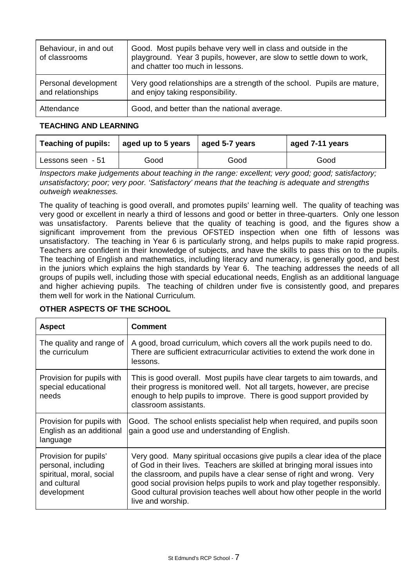| Behaviour, in and out<br>of classrooms    | Good. Most pupils behave very well in class and outside in the<br>playground. Year 3 pupils, however, are slow to settle down to work,<br>and chatter too much in lessons. |  |
|-------------------------------------------|----------------------------------------------------------------------------------------------------------------------------------------------------------------------------|--|
| Personal development<br>and relationships | Very good relationships are a strength of the school. Pupils are mature,<br>and enjoy taking responsibility.                                                               |  |
| Attendance                                | Good, and better than the national average.                                                                                                                                |  |

# **TEACHING AND LEARNING**

| <b>Teaching of pupils:</b> | aged up to 5 years | $ $ aged 5-7 years | aged 7-11 years |
|----------------------------|--------------------|--------------------|-----------------|
| Lessons seen - 51          | Good               | Good               | Good            |

*Inspectors make judgements about teaching in the range: excellent; very good; good; satisfactory; unsatisfactory; poor; very poor. 'Satisfactory' means that the teaching is adequate and strengths outweigh weaknesses.*

 The quality of teaching is good overall, and promotes pupils' learning well. The quality of teaching was very good or excellent in nearly a third of lessons and good or better in three-quarters. Only one lesson was unsatisfactory. Parents believe that the quality of teaching is good, and the figures show a significant improvement from the previous OFSTED inspection when one fifth of lessons was unsatisfactory. The teaching in Year 6 is particularly strong, and helps pupils to make rapid progress. Teachers are confident in their knowledge of subjects, and have the skills to pass this on to the pupils. The teaching of English and mathematics, including literacy and numeracy, is generally good, and best in the juniors which explains the high standards by Year 6. The teaching addresses the needs of all groups of pupils well, including those with special educational needs, English as an additional language and higher achieving pupils. The teaching of children under five is consistently good, and prepares them well for work in the National Curriculum.

| <b>Aspect</b>                                                                                           | <b>Comment</b>                                                                                                                                                                                                                                                                                                                                                                                                |  |
|---------------------------------------------------------------------------------------------------------|---------------------------------------------------------------------------------------------------------------------------------------------------------------------------------------------------------------------------------------------------------------------------------------------------------------------------------------------------------------------------------------------------------------|--|
| The quality and range of<br>the curriculum                                                              | A good, broad curriculum, which covers all the work pupils need to do.<br>There are sufficient extracurricular activities to extend the work done in<br>lessons.                                                                                                                                                                                                                                              |  |
| Provision for pupils with<br>special educational<br>needs                                               | This is good overall. Most pupils have clear targets to aim towards, and<br>their progress is monitored well. Not all targets, however, are precise<br>enough to help pupils to improve. There is good support provided by<br>classroom assistants.                                                                                                                                                           |  |
| Provision for pupils with<br>English as an additional<br>language                                       | Good. The school enlists specialist help when required, and pupils soon<br>gain a good use and understanding of English.                                                                                                                                                                                                                                                                                      |  |
| Provision for pupils'<br>personal, including<br>spiritual, moral, social<br>and cultural<br>development | Very good. Many spiritual occasions give pupils a clear idea of the place<br>of God in their lives. Teachers are skilled at bringing moral issues into<br>the classroom, and pupils have a clear sense of right and wrong. Very<br>good social provision helps pupils to work and play together responsibly.<br>Good cultural provision teaches well about how other people in the world<br>live and worship. |  |

# **OTHER ASPECTS OF THE SCHOOL**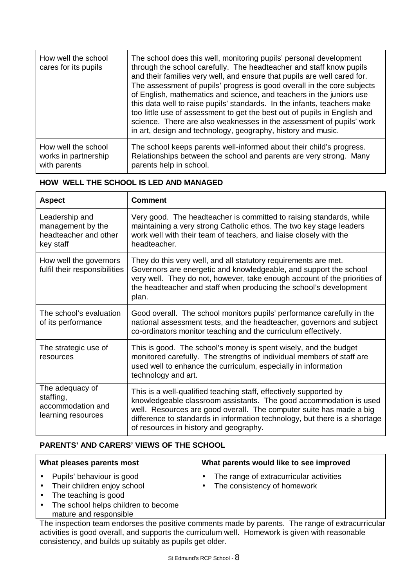| How well the school<br>cares for its pupils | The school does this well, monitoring pupils' personal development<br>through the school carefully. The headteacher and staff know pupils<br>and their families very well, and ensure that pupils are well cared for.<br>The assessment of pupils' progress is good overall in the core subjects<br>of English, mathematics and science, and teachers in the juniors use<br>this data well to raise pupils' standards. In the infants, teachers make<br>too little use of assessment to get the best out of pupils in English and<br>science. There are also weaknesses in the assessment of pupils' work<br>in art, design and technology, geography, history and music. |
|---------------------------------------------|---------------------------------------------------------------------------------------------------------------------------------------------------------------------------------------------------------------------------------------------------------------------------------------------------------------------------------------------------------------------------------------------------------------------------------------------------------------------------------------------------------------------------------------------------------------------------------------------------------------------------------------------------------------------------|
| How well the school                         | The school keeps parents well-informed about their child's progress.                                                                                                                                                                                                                                                                                                                                                                                                                                                                                                                                                                                                      |
| works in partnership                        | Relationships between the school and parents are very strong. Many                                                                                                                                                                                                                                                                                                                                                                                                                                                                                                                                                                                                        |
| with parents                                | parents help in school.                                                                                                                                                                                                                                                                                                                                                                                                                                                                                                                                                                                                                                                   |

# **HOW WELL THE SCHOOL IS LED AND MANAGED**

| <b>Aspect</b>                                                             | <b>Comment</b>                                                                                                                                                                                                                                                                                                                         |
|---------------------------------------------------------------------------|----------------------------------------------------------------------------------------------------------------------------------------------------------------------------------------------------------------------------------------------------------------------------------------------------------------------------------------|
| Leadership and<br>management by the<br>headteacher and other<br>key staff | Very good. The headteacher is committed to raising standards, while<br>maintaining a very strong Catholic ethos. The two key stage leaders<br>work well with their team of teachers, and liaise closely with the<br>headteacher.                                                                                                       |
| How well the governors<br>fulfil their responsibilities                   | They do this very well, and all statutory requirements are met.<br>Governors are energetic and knowledgeable, and support the school<br>very well. They do not, however, take enough account of the priorities of<br>the headteacher and staff when producing the school's development<br>plan.                                        |
| The school's evaluation<br>of its performance                             | Good overall. The school monitors pupils' performance carefully in the<br>national assessment tests, and the headteacher, governors and subject<br>co-ordinators monitor teaching and the curriculum effectively.                                                                                                                      |
| The strategic use of<br>resources                                         | This is good. The school's money is spent wisely, and the budget<br>monitored carefully. The strengths of individual members of staff are<br>used well to enhance the curriculum, especially in information<br>technology and art.                                                                                                     |
| The adequacy of<br>staffing,<br>accommodation and<br>learning resources   | This is a well-qualified teaching staff, effectively supported by<br>knowledgeable classroom assistants. The good accommodation is used<br>well. Resources are good overall. The computer suite has made a big<br>difference to standards in information technology, but there is a shortage<br>of resources in history and geography. |

# **PARENTS' AND CARERS' VIEWS OF THE SCHOOL**

| What pleases parents most |                                     | What parents would like to see improved |                                         |
|---------------------------|-------------------------------------|-----------------------------------------|-----------------------------------------|
|                           | Pupils' behaviour is good           |                                         | The range of extracurricular activities |
|                           | • Their children enjoy school       |                                         | The consistency of homework             |
|                           | The teaching is good                |                                         |                                         |
| $\bullet$                 | The school helps children to become |                                         |                                         |
|                           | mature and responsible              |                                         |                                         |

The inspection team endorses the positive comments made by parents. The range of extracurricular activities is good overall, and supports the curriculum well. Homework is given with reasonable consistency, and builds up suitably as pupils get older.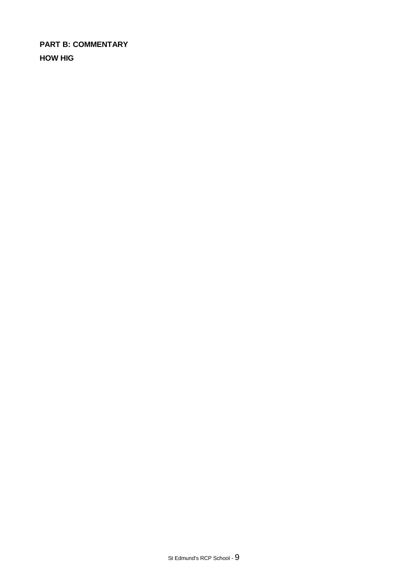**PART B: COMMENTARY HOW HIG**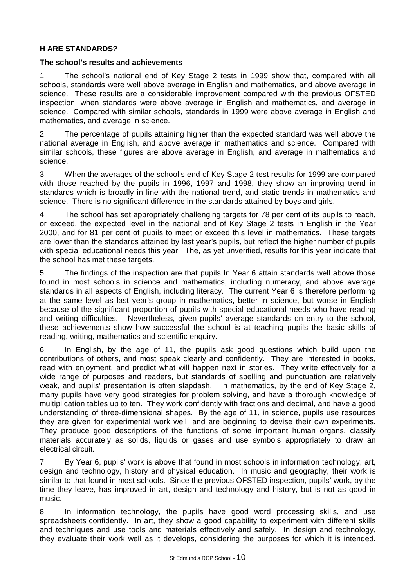# **H ARE STANDARDS?**

### **The school's results and achievements**

1. The school's national end of Key Stage 2 tests in 1999 show that, compared with all schools, standards were well above average in English and mathematics, and above average in science. These results are a considerable improvement compared with the previous OFSTED inspection, when standards were above average in English and mathematics, and average in science. Compared with similar schools, standards in 1999 were above average in English and mathematics, and average in science.

2. The percentage of pupils attaining higher than the expected standard was well above the national average in English, and above average in mathematics and science. Compared with similar schools, these figures are above average in English, and average in mathematics and science.

3. When the averages of the school's end of Key Stage 2 test results for 1999 are compared with those reached by the pupils in 1996, 1997 and 1998, they show an improving trend in standards which is broadly in line with the national trend, and static trends in mathematics and science. There is no significant difference in the standards attained by boys and girls.

4. The school has set appropriately challenging targets for 78 per cent of its pupils to reach, or exceed, the expected level in the national end of Key Stage 2 tests in English in the Year 2000, and for 81 per cent of pupils to meet or exceed this level in mathematics. These targets are lower than the standards attained by last year's pupils, but reflect the higher number of pupils with special educational needs this year. The, as yet unverified, results for this year indicate that the school has met these targets.

5. The findings of the inspection are that pupils In Year 6 attain standards well above those found in most schools in science and mathematics, including numeracy, and above average standards in all aspects of English, including literacy. The current Year 6 is therefore performing at the same level as last year's group in mathematics, better in science, but worse in English because of the significant proportion of pupils with special educational needs who have reading and writing difficulties. Nevertheless, given pupils' average standards on entry to the school, these achievements show how successful the school is at teaching pupils the basic skills of reading, writing, mathematics and scientific enquiry.

6. In English, by the age of 11, the pupils ask good questions which build upon the contributions of others, and most speak clearly and confidently. They are interested in books, read with enjoyment, and predict what will happen next in stories. They write effectively for a wide range of purposes and readers, but standards of spelling and punctuation are relatively weak, and pupils' presentation is often slapdash. In mathematics, by the end of Key Stage 2, many pupils have very good strategies for problem solving, and have a thorough knowledge of multiplication tables up to ten. They work confidently with fractions and decimal, and have a good understanding of three-dimensional shapes. By the age of 11, in science, pupils use resources they are given for experimental work well, and are beginning to devise their own experiments. They produce good descriptions of the functions of some important human organs, classify materials accurately as solids, liquids or gases and use symbols appropriately to draw an electrical circuit.

7. By Year 6, pupils' work is above that found in most schools in information technology, art, design and technology, history and physical education. In music and geography, their work is similar to that found in most schools. Since the previous OFSTED inspection, pupils' work, by the time they leave, has improved in art, design and technology and history, but is not as good in music.

8. In information technology, the pupils have good word processing skills, and use spreadsheets confidently. In art, they show a good capability to experiment with different skills and techniques and use tools and materials effectively and safely. In design and technology, they evaluate their work well as it develops, considering the purposes for which it is intended.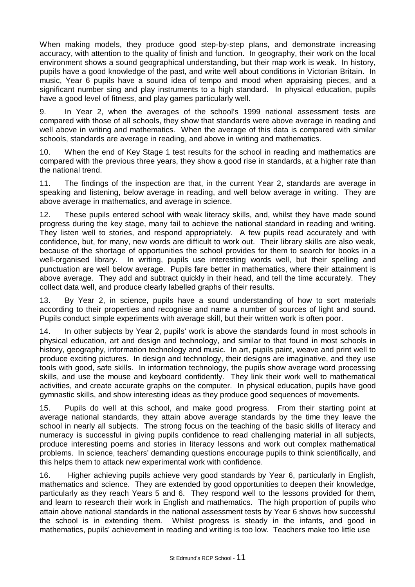When making models, they produce good step-by-step plans, and demonstrate increasing accuracy, with attention to the quality of finish and function. In geography, their work on the local environment shows a sound geographical understanding, but their map work is weak. In history, pupils have a good knowledge of the past, and write well about conditions in Victorian Britain. In music, Year 6 pupils have a sound idea of tempo and mood when appraising pieces, and a significant number sing and play instruments to a high standard. In physical education, pupils have a good level of fitness, and play games particularly well.

9. In Year 2, when the averages of the school's 1999 national assessment tests are compared with those of all schools, they show that standards were above average in reading and well above in writing and mathematics. When the average of this data is compared with similar schools, standards are average in reading, and above in writing and mathematics.

10. When the end of Key Stage 1 test results for the school in reading and mathematics are compared with the previous three years, they show a good rise in standards, at a higher rate than the national trend.

11. The findings of the inspection are that, in the current Year 2, standards are average in speaking and listening, below average in reading, and well below average in writing. They are above average in mathematics, and average in science.

12. These pupils entered school with weak literacy skills, and, whilst they have made sound progress during the key stage, many fail to achieve the national standard in reading and writing. They listen well to stories, and respond appropriately. A few pupils read accurately and with confidence, but, for many, new words are difficult to work out. Their library skills are also weak, because of the shortage of opportunities the school provides for them to search for books in a well-organised library. In writing, pupils use interesting words well, but their spelling and punctuation are well below average. Pupils fare better in mathematics, where their attainment is above average. They add and subtract quickly in their head, and tell the time accurately. They collect data well, and produce clearly labelled graphs of their results.

13. By Year 2, in science, pupils have a sound understanding of how to sort materials according to their properties and recognise and name a number of sources of light and sound. Pupils conduct simple experiments with average skill, but their written work is often poor.

14. In other subjects by Year 2, pupils' work is above the standards found in most schools in physical education, art and design and technology, and similar to that found in most schools in history, geography, information technology and music. In art, pupils paint, weave and print well to produce exciting pictures. In design and technology, their designs are imaginative, and they use tools with good, safe skills. In information technology, the pupils show average word processing skills, and use the mouse and keyboard confidently. They link their work well to mathematical activities, and create accurate graphs on the computer. In physical education, pupils have good gymnastic skills, and show interesting ideas as they produce good sequences of movements.

15. Pupils do well at this school, and make good progress. From their starting point at average national standards, they attain above average standards by the time they leave the school in nearly all subjects. The strong focus on the teaching of the basic skills of literacy and numeracy is successful in giving pupils confidence to read challenging material in all subjects, produce interesting poems and stories in literacy lessons and work out complex mathematical problems. In science, teachers' demanding questions encourage pupils to think scientifically, and this helps them to attack new experimental work with confidence.

16. Higher achieving pupils achieve very good standards by Year 6, particularly in English, mathematics and science. They are extended by good opportunities to deepen their knowledge, particularly as they reach Years 5 and 6. They respond well to the lessons provided for them, and learn to research their work in English and mathematics. The high proportion of pupils who attain above national standards in the national assessment tests by Year 6 shows how successful the school is in extending them. Whilst progress is steady in the infants, and good in mathematics, pupils' achievement in reading and writing is too low. Teachers make too little use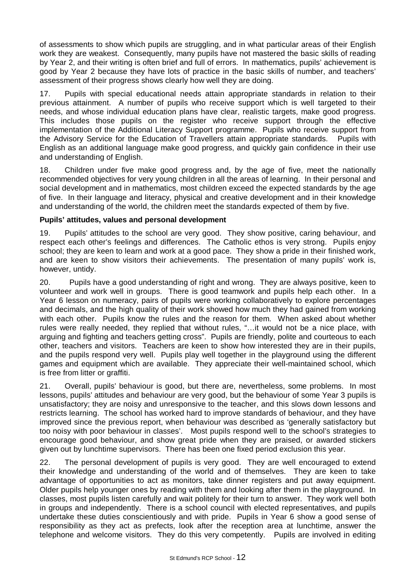of assessments to show which pupils are struggling, and in what particular areas of their English work they are weakest. Consequently, many pupils have not mastered the basic skills of reading by Year 2, and their writing is often brief and full of errors. In mathematics, pupils' achievement is good by Year 2 because they have lots of practice in the basic skills of number, and teachers' assessment of their progress shows clearly how well they are doing.

17. Pupils with special educational needs attain appropriate standards in relation to their previous attainment. A number of pupils who receive support which is well targeted to their needs, and whose individual education plans have clear, realistic targets, make good progress. This includes those pupils on the register who receive support through the effective implementation of the Additional Literacy Support programme. Pupils who receive support from the Advisory Service for the Education of Travellers attain appropriate standards. Pupils with English as an additional language make good progress, and quickly gain confidence in their use and understanding of English.

18. Children under five make good progress and, by the age of five, meet the nationally recommended objectives for very young children in all the areas of learning. In their personal and social development and in mathematics, most children exceed the expected standards by the age of five. In their language and literacy, physical and creative development and in their knowledge and understanding of the world, the children meet the standards expected of them by five.

# **Pupils' attitudes, values and personal development**

19. Pupils' attitudes to the school are very good. They show positive, caring behaviour, and respect each other's feelings and differences. The Catholic ethos is very strong. Pupils enjoy school; they are keen to learn and work at a good pace. They show a pride in their finished work, and are keen to show visitors their achievements. The presentation of many pupils' work is, however, untidy.

20. Pupils have a good understanding of right and wrong. They are always positive, keen to volunteer and work well in groups. There is good teamwork and pupils help each other. In a Year 6 lesson on numeracy, pairs of pupils were working collaboratively to explore percentages and decimals, and the high quality of their work showed how much they had gained from working with each other. Pupils know the rules and the reason for them. When asked about whether rules were really needed, they replied that without rules, "… it would not be a nice place, with arguing and fighting and teachers getting cross". Pupils are friendly, polite and courteous to each other, teachers and visitors. Teachers are keen to show how interested they are in their pupils, and the pupils respond very well. Pupils play well together in the playground using the different games and equipment which are available. They appreciate their well-maintained school, which is free from litter or graffiti.

21. Overall, pupils' behaviour is good, but there are, nevertheless, some problems. In most lessons, pupils' attitudes and behaviour are very good, but the behaviour of some Year 3 pupils is unsatisfactory; they are noisy and unresponsive to the teacher, and this slows down lessons and restricts learning. The school has worked hard to improve standards of behaviour, and they have improved since the previous report, when behaviour was described as 'generally satisfactory but too noisy with poor behaviour in classes'. Most pupils respond well to the school's strategies to encourage good behaviour, and show great pride when they are praised, or awarded stickers given out by lunchtime supervisors. There has been one fixed period exclusion this year.

22. The personal development of pupils is very good. They are well encouraged to extend their knowledge and understanding of the world and of themselves. They are keen to take advantage of opportunities to act as monitors, take dinner registers and put away equipment. Older pupils help younger ones by reading with them and looking after them in the playground. In classes, most pupils listen carefully and wait politely for their turn to answer. They work well both in groups and independently. There is a school council with elected representatives, and pupils undertake these duties conscientiously and with pride. Pupils in Year 6 show a good sense of responsibility as they act as prefects, look after the reception area at lunchtime, answer the telephone and welcome visitors. They do this very competently. Pupils are involved in editing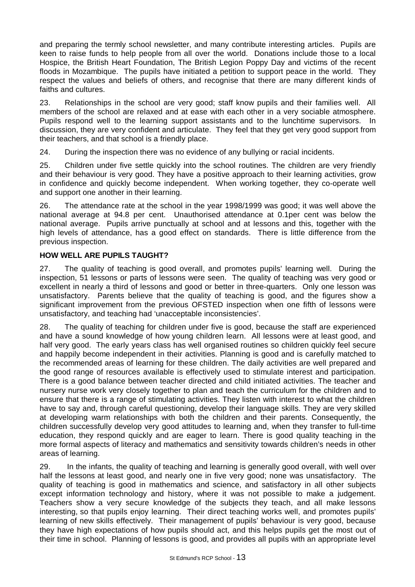and preparing the termly school newsletter, and many contribute interesting articles. Pupils are keen to raise funds to help people from all over the world. Donations include those to a local Hospice, the British Heart Foundation, The British Legion Poppy Day and victims of the recent floods in Mozambique. The pupils have initiated a petition to support peace in the world. They respect the values and beliefs of others, and recognise that there are many different kinds of faiths and cultures.

23. Relationships in the school are very good; staff know pupils and their families well. All members of the school are relaxed and at ease with each other in a very sociable atmosphere. Pupils respond well to the learning support assistants and to the lunchtime supervisors. In discussion, they are very confident and articulate. They feel that they get very good support from their teachers, and that school is a friendly place.

24. During the inspection there was no evidence of any bullying or racial incidents.

25. Children under five settle quickly into the school routines. The children are very friendly and their behaviour is very good. They have a positive approach to their learning activities, grow in confidence and quickly become independent. When working together, they co-operate well and support one another in their learning.

26. The attendance rate at the school in the year 1998/1999 was good; it was well above the national average at 94.8 per cent. Unauthorised attendance at 0.1per cent was below the national average. Pupils arrive punctually at school and at lessons and this, together with the high levels of attendance, has a good effect on standards. There is little difference from the previous inspection.

# **HOW WELL ARE PUPILS TAUGHT?**

27. The quality of teaching is good overall, and promotes pupils' learning well. During the inspection, 51 lessons or parts of lessons were seen. The quality of teaching was very good or excellent in nearly a third of lessons and good or better in three-quarters. Only one lesson was unsatisfactory. Parents believe that the quality of teaching is good, and the figures show a significant improvement from the previous OFSTED inspection when one fifth of lessons were unsatisfactory, and teaching had 'unacceptable inconsistencies'.

28. The quality of teaching for children under five is good, because the staff are experienced and have a sound knowledge of how young children learn. All lessons were at least good, and half very good. The early years class has well organised routines so children quickly feel secure and happily become independent in their activities. Planning is good and is carefully matched to the recommended areas of learning for these children. The daily activities are well prepared and the good range of resources available is effectively used to stimulate interest and participation. There is a good balance between teacher directed and child initiated activities. The teacher and nursery nurse work very closely together to plan and teach the curriculum for the children and to ensure that there is a range of stimulating activities. They listen with interest to what the children have to say and, through careful questioning, develop their language skills. They are very skilled at developing warm relationships with both the children and their parents. Consequently, the children successfully develop very good attitudes to learning and, when they transfer to full-time education, they respond quickly and are eager to learn. There is good quality teaching in the more formal aspects of literacy and mathematics and sensitivity towards children's needs in other areas of learning.

29. In the infants, the quality of teaching and learning is generally good overall, with well over half the lessons at least good, and nearly one in five very good; none was unsatisfactory. The quality of teaching is good in mathematics and science, and satisfactory in all other subjects except information technology and history, where it was not possible to make a judgement. Teachers show a very secure knowledge of the subjects they teach, and all make lessons interesting, so that pupils enjoy learning. Their direct teaching works well, and promotes pupils' learning of new skills effectively. Their management of pupils' behaviour is very good, because they have high expectations of how pupils should act, and this helps pupils get the most out of their time in school. Planning of lessons is good, and provides all pupils with an appropriate level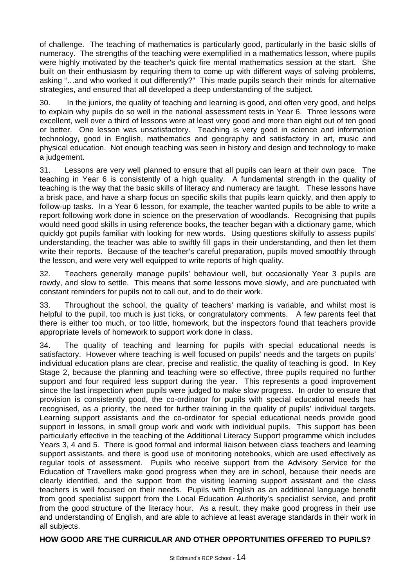of challenge. The teaching of mathematics is particularly good, particularly in the basic skills of numeracy. The strengths of the teaching were exemplified in a mathematics lesson, where pupils were highly motivated by the teacher's quick fire mental mathematics session at the start. She built on their enthusiasm by requiring them to come up with different ways of solving problems, asking "… and who worked it out differently?" This made pupils search their minds for alternative strategies, and ensured that all developed a deep understanding of the subject.

30. In the juniors, the quality of teaching and learning is good, and often very good, and helps to explain why pupils do so well in the national assessment tests in Year 6. Three lessons were excellent, well over a third of lessons were at least very good and more than eight out of ten good or better. One lesson was unsatisfactory. Teaching is very good in science and information technology, good in English, mathematics and geography and satisfactory in art, music and physical education. Not enough teaching was seen in history and design and technology to make a judgement.

31. Lessons are very well planned to ensure that all pupils can learn at their own pace. The teaching in Year 6 is consistently of a high quality. A fundamental strength in the quality of teaching is the way that the basic skills of literacy and numeracy are taught. These lessons have a brisk pace, and have a sharp focus on specific skills that pupils learn quickly, and then apply to follow-up tasks. In a Year 6 lesson, for example, the teacher wanted pupils to be able to write a report following work done in science on the preservation of woodlands. Recognising that pupils would need good skills in using reference books, the teacher began with a dictionary game, which quickly got pupils familiar with looking for new words. Using questions skilfully to assess pupils' understanding, the teacher was able to swiftly fill gaps in their understanding, and then let them write their reports. Because of the teacher's careful preparation, pupils moved smoothly through the lesson, and were very well equipped to write reports of high quality.

32. Teachers generally manage pupils' behaviour well, but occasionally Year 3 pupils are rowdy, and slow to settle. This means that some lessons move slowly, and are punctuated with constant reminders for pupils not to call out, and to do their work.

33. Throughout the school, the quality of teachers' marking is variable, and whilst most is helpful to the pupil, too much is just ticks, or congratulatory comments. A few parents feel that there is either too much, or too little, homework, but the inspectors found that teachers provide appropriate levels of homework to support work done in class.

34. The quality of teaching and learning for pupils with special educational needs is satisfactory. However where teaching is well focused on pupils' needs and the targets on pupils' individual education plans are clear, precise and realistic, the quality of teaching is good. In Key Stage 2, because the planning and teaching were so effective, three pupils required no further support and four required less support during the year. This represents a good improvement since the last inspection when pupils were judged to make slow progress. In order to ensure that provision is consistently good, the co-ordinator for pupils with special educational needs has recognised, as a priority, the need for further training in the quality of pupils' individual targets. Learning support assistants and the co-ordinator for special educational needs provide good support in lessons, in small group work and work with individual pupils. This support has been particularly effective in the teaching of the Additional Literacy Support programme which includes Years 3, 4 and 5. There is good formal and informal liaison between class teachers and learning support assistants, and there is good use of monitoring notebooks, which are used effectively as regular tools of assessment. Pupils who receive support from the Advisory Service for the Education of Travellers make good progress when they are in school, because their needs are clearly identified, and the support from the visiting learning support assistant and the class teachers is well focused on their needs. Pupils with English as an additional language benefit from good specialist support from the Local Education Authority's specialist service, and profit from the good structure of the literacy hour. As a result, they make good progress in their use and understanding of English, and are able to achieve at least average standards in their work in all subjects.

# **HOW GOOD ARE THE CURRICULAR AND OTHER OPPORTUNITIES OFFERED TO PUPILS?**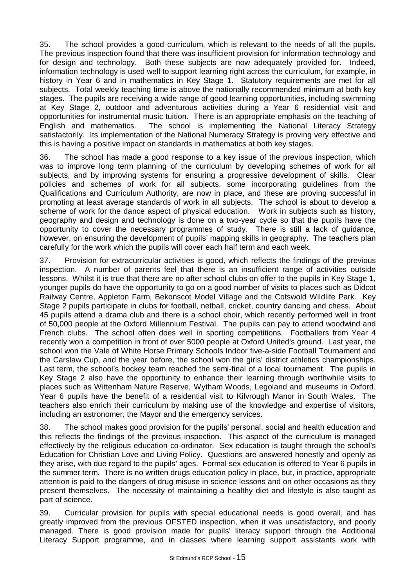35. The school provides a good curriculum, which is relevant to the needs of all the pupils. The previous inspection found that there was insufficient provision for information technology and for design and technology. Both these subjects are now adequately provided for. Indeed, information technology is used well to support learning right across the curriculum, for example, in history in Year 6 and in mathematics in Key Stage 1. Statutory requirements are met for all subjects. Total weekly teaching time is above the nationally recommended minimum at both key stages. The pupils are receiving a wide range of good learning opportunities, including swimming at Key Stage 2, outdoor and adventurous activities during a Year 6 residential visit and opportunities for instrumental music tuition. There is an appropriate emphasis on the teaching of English and mathematics. The school is implementing the National Literacy Strategy satisfactorily. Its implementation of the National Numeracy Strategy is proving very effective and this is having a positive impact on standards in mathematics at both key stages.

36. The school has made a good response to a key issue of the previous inspection, which was to improve long term planning of the curriculum by developing schemes of work for all subjects, and by improving systems for ensuring a progressive development of skills. Clear policies and schemes of work for all subjects, some incorporating guidelines from the Qualifications and Curriculum Authority, are now in place, and these are proving successful in promoting at least average standards of work in all subjects. The school is about to develop a scheme of work for the dance aspect of physical education. Work in subjects such as history, geography and design and technology is done on a two-year cycle so that the pupils have the opportunity to cover the necessary programmes of study. There is still a lack of guidance, however, on ensuring the development of pupils' mapping skills in geography. The teachers plan carefully for the work which the pupils will cover each half term and each week.

37. Provision for extracurricular activities is good, which reflects the findings of the previous inspection. A number of parents feel that there is an insufficient range of activities outside lessons. Whilst it is true that there are no after school clubs on offer to the pupils in Key Stage 1, younger pupils do have the opportunity to go on a good number of visits to places such as Didcot Railway Centre, Appleton Farm, Bekonscot Model Village and the Cotswold Wildlife Park. Key Stage 2 pupils participate in clubs for football, netball, cricket, country dancing and chess. About 45 pupils attend a drama club and there is a school choir, which recently performed well in front of 50,000 people at the Oxford Millennium Festival. The pupils can pay to attend woodwind and French clubs. The school often does well in sporting competitions. Footballers from Year 4 recently won a competition in front of over 5000 people at Oxford United's ground. Last year, the school won the Vale of White Horse Primary Schools Indoor five-a-side Football Tournament and the Carslaw Cup, and the year before, the school won the girls' district athletics championships. Last term, the school's hockey team reached the semi-final of a local tournament. The pupils in Key Stage 2 also have the opportunity to enhance their learning through worthwhile visits to places such as Wittenham Nature Reserve, Wytham Woods, Legoland and museums in Oxford. Year 6 pupils have the benefit of a residential visit to Kilvrough Manor in South Wales. The teachers also enrich their curriculum by making use of the knowledge and expertise of visitors, including an astronomer, the Mayor and the emergency services.

38. The school makes good provision for the pupils' personal, social and health education and this reflects the findings of the previous inspection. This aspect of the curriculum is managed effectively by the religious education co-ordinator. Sex education is taught through the school's Education for Christian Love and Living Policy. Questions are answered honestly and openly as they arise, with due regard to the pupils' ages. Formal sex education is offered to Year 6 pupils in the summer term. There is no written drugs education policy in place, but, in practice, appropriate attention is paid to the dangers of drug misuse in science lessons and on other occasions as they present themselves. The necessity of maintaining a healthy diet and lifestyle is also taught as part of science.

39. Curricular provision for pupils with special educational needs is good overall, and has greatly improved from the previous OFSTED inspection, when it was unsatisfactory, and poorly managed. There is good provision made for pupils' literacy support through the Additional Literacy Support programme, and in classes where learning support assistants work with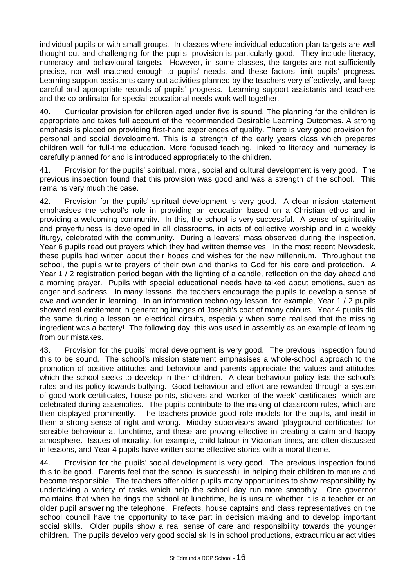individual pupils or with small groups. In classes where individual education plan targets are well thought out and challenging for the pupils, provision is particularly good. They include literacy, numeracy and behavioural targets. However, in some classes, the targets are not sufficiently precise, nor well matched enough to pupils' needs, and these factors limit pupils' progress. Learning support assistants carry out activities planned by the teachers very effectively, and keep careful and appropriate records of pupils' progress. Learning support assistants and teachers and the co-ordinator for special educational needs work well together.

40. Curricular provision for children aged under five is sound. The planning for the children is appropriate and takes full account of the recommended Desirable Learning Outcomes. A strong emphasis is placed on providing first-hand experiences of quality. There is very good provision for personal and social development. This is a strength of the early years class which prepares children well for full-time education. More focused teaching, linked to literacy and numeracy is carefully planned for and is introduced appropriately to the children.

41. Provision for the pupils' spiritual, moral, social and cultural development is very good. The previous inspection found that this provision was good and was a strength of the school. This remains very much the case.

42. Provision for the pupils' spiritual development is very good. A clear mission statement emphasises the school's role in providing an education based on a Christian ethos and in providing a welcoming community. In this, the school is very successful. A sense of spirituality and prayerfulness is developed in all classrooms, in acts of collective worship and in a weekly liturgy, celebrated with the community. During a leavers' mass observed during the inspection, Year 6 pupils read out prayers which they had written themselves. In the most recent Newsdesk, these pupils had written about their hopes and wishes for the new millennium. Throughout the school, the pupils write prayers of their own and thanks to God for his care and protection. A Year 1 / 2 registration period began with the lighting of a candle, reflection on the day ahead and a morning prayer. Pupils with special educational needs have talked about emotions, such as anger and sadness. In many lessons, the teachers encourage the pupils to develop a sense of awe and wonder in learning. In an information technology lesson, for example, Year 1 / 2 pupils showed real excitement in generating images of Joseph's coat of many colours. Year 4 pupils did the same during a lesson on electrical circuits, especially when some realised that the missing ingredient was a battery! The following day, this was used in assembly as an example of learning from our mistakes.

43. Provision for the pupils' moral development is very good. The previous inspection found this to be sound. The school's mission statement emphasises a whole-school approach to the promotion of positive attitudes and behaviour and parents appreciate the values and attitudes which the school seeks to develop in their children. A clear behaviour policy lists the school's rules and its policy towards bullying. Good behaviour and effort are rewarded through a system of good work certificates, house points, stickers and 'worker of the week' certificates which are celebrated during assemblies. The pupils contribute to the making of classroom rules, which are then displayed prominently. The teachers provide good role models for the pupils, and instil in them a strong sense of right and wrong. Midday supervisors award 'playground certificates' for sensible behaviour at lunchtime, and these are proving effective in creating a calm and happy atmosphere. Issues of morality, for example, child labour in Victorian times, are often discussed in lessons, and Year 4 pupils have written some effective stories with a moral theme.

44. Provision for the pupils' social development is very good. The previous inspection found this to be good. Parents feel that the school is successful in helping their children to mature and become responsible. The teachers offer older pupils many opportunities to show responsibility by undertaking a variety of tasks which help the school day run more smoothly. One governor maintains that when he rings the school at lunchtime, he is unsure whether it is a teacher or an older pupil answering the telephone. Prefects, house captains and class representatives on the school council have the opportunity to take part in decision making and to develop important social skills. Older pupils show a real sense of care and responsibility towards the younger children. The pupils develop very good social skills in school productions, extracurricular activities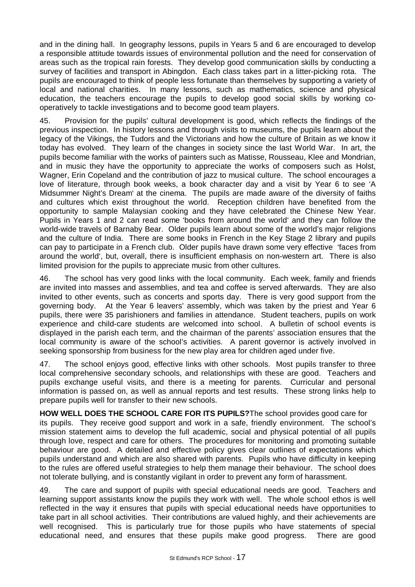and in the dining hall. In geography lessons, pupils in Years 5 and 6 are encouraged to develop a responsible attitude towards issues of environmental pollution and the need for conservation of areas such as the tropical rain forests. They develop good communication skills by conducting a survey of facilities and transport in Abingdon. Each class takes part in a litter-picking rota. The pupils are encouraged to think of people less fortunate than themselves by supporting a variety of local and national charities. In many lessons, such as mathematics, science and physical education, the teachers encourage the pupils to develop good social skills by working cooperatively to tackle investigations and to become good team players.

45. Provision for the pupils' cultural development is good, which reflects the findings of the previous inspection. In history lessons and through visits to museums, the pupils learn about the legacy of the Vikings, the Tudors and the Victorians and how the culture of Britain as we know it today has evolved. They learn of the changes in society since the last World War. In art, the pupils become familiar with the works of painters such as Matisse, Rousseau, Klee and Mondrian, and in music they have the opportunity to appreciate the works of composers such as Holst, Wagner, Erin Copeland and the contribution of jazz to musical culture. The school encourages a love of literature, through book weeks, a book character day and a visit by Year 6 to see 'A Midsummer Night's Dream' at the cinema. The pupils are made aware of the diversity of faiths and cultures which exist throughout the world. Reception children have benefited from the opportunity to sample Malaysian cooking and they have celebrated the Chinese New Year. Pupils in Years 1 and 2 can read some 'books from around the world' and they can follow the world-wide travels of Barnaby Bear. Older pupils learn about some of the world's major religions and the culture of India. There are some books in French in the Key Stage 2 library and pupils can pay to participate in a French club. Older pupils have drawn some very effective 'faces from around the world', but, overall, there is insufficient emphasis on non-western art. There is also limited provision for the pupils to appreciate music from other cultures.

46. The school has very good links with the local community. Each week, family and friends are invited into masses and assemblies, and tea and coffee is served afterwards. They are also invited to other events, such as concerts and sports day. There is very good support from the governing body. At the Year 6 leavers' assembly, which was taken by the priest and Year 6 pupils, there were 35 parishioners and families in attendance. Student teachers, pupils on work experience and child-care students are welcomed into school. A bulletin of school events is displayed in the parish each term, and the chairman of the parents' association ensures that the local community is aware of the school's activities. A parent governor is actively involved in seeking sponsorship from business for the new play area for children aged under five.

47. The school enjoys good, effective links with other schools. Most pupils transfer to three local comprehensive secondary schools, and relationships with these are good. Teachers and pupils exchange useful visits, and there is a meeting for parents. Curricular and personal information is passed on, as well as annual reports and test results. These strong links help to prepare pupils well for transfer to their new schools.

**HOW WELL DOES THE SCHOOL CARE FOR ITS PUPILS?**The school provides good care for its pupils. They receive good support and work in a safe, friendly environment. The school's mission statement aims to develop the full academic, social and physical potential of all pupils through love, respect and care for others. The procedures for monitoring and promoting suitable behaviour are good. A detailed and effective policy gives clear outlines of expectations which pupils understand and which are also shared with parents. Pupils who have difficulty in keeping to the rules are offered useful strategies to help them manage their behaviour. The school does not tolerate bullying, and is constantly vigilant in order to prevent any form of harassment.

49. The care and support of pupils with special educational needs are good. Teachers and learning support assistants know the pupils they work with well. The whole school ethos is well reflected in the way it ensures that pupils with special educational needs have opportunities to take part in all school activities. Their contributions are valued highly, and their achievements are well recognised. This is particularly true for those pupils who have statements of special educational need, and ensures that these pupils make good progress. There are good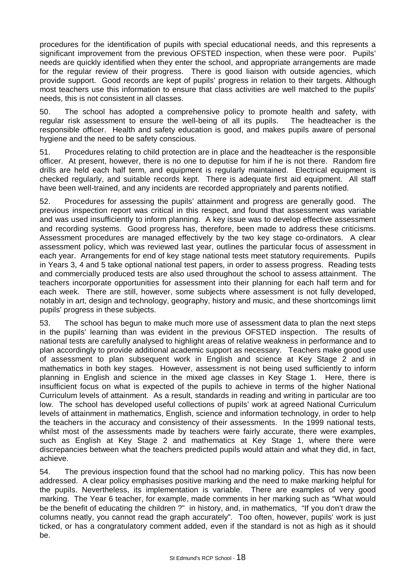procedures for the identification of pupils with special educational needs, and this represents a significant improvement from the previous OFSTED inspection, when these were poor. Pupils' needs are quickly identified when they enter the school, and appropriate arrangements are made for the regular review of their progress. There is good liaison with outside agencies, which provide support. Good records are kept of pupils' progress in relation to their targets. Although most teachers use this information to ensure that class activities are well matched to the pupils' needs, this is not consistent in all classes.

50. The school has adopted a comprehensive policy to promote health and safety, with regular risk assessment to ensure the well-being of all its pupils. The headteacher is the responsible officer. Health and safety education is good, and makes pupils aware of personal hygiene and the need to be safety conscious.

51. Procedures relating to child protection are in place and the headteacher is the responsible officer. At present, however, there is no one to deputise for him if he is not there. Random fire drills are held each half term, and equipment is regularly maintained. Electrical equipment is checked regularly, and suitable records kept. There is adequate first aid equipment. All staff have been well-trained, and any incidents are recorded appropriately and parents notified.

52. Procedures for assessing the pupils' attainment and progress are generally good. The previous inspection report was critical in this respect, and found that assessment was variable and was used insufficiently to inform planning. A key issue was to develop effective assessment and recording systems. Good progress has, therefore, been made to address these criticisms. Assessment procedures are managed effectively by the two key stage co-ordinators. A clear assessment policy, which was reviewed last year, outlines the particular focus of assessment in each year. Arrangements for end of key stage national tests meet statutory requirements. Pupils in Years 3, 4 and 5 take optional national test papers, in order to assess progress. Reading tests and commercially produced tests are also used throughout the school to assess attainment. The teachers incorporate opportunities for assessment into their planning for each half term and for each week. There are still, however, some subjects where assessment is not fully developed, notably in art, design and technology, geography, history and music, and these shortcomings limit pupils' progress in these subjects.

53. The school has begun to make much more use of assessment data to plan the next steps in the pupils' learning than was evident in the previous OFSTED inspection. The results of national tests are carefully analysed to highlight areas of relative weakness in performance and to plan accordingly to provide additional academic support as necessary. Teachers make good use of assessment to plan subsequent work in English and science at Key Stage 2 and in mathematics in both key stages. However, assessment is not being used sufficiently to inform planning in English and science in the mixed age classes in Key Stage 1. Here, there is insufficient focus on what is expected of the pupils to achieve in terms of the higher National Curriculum levels of attainment. As a result, standards in reading and writing in particular are too low. The school has developed useful collections of pupils' work at agreed National Curriculum levels of attainment in mathematics, English, science and information technology, in order to help the teachers in the accuracy and consistency of their assessments. In the 1999 national tests, whilst most of the assessments made by teachers were fairly accurate, there were examples, such as English at Key Stage 2 and mathematics at Key Stage 1, where there were discrepancies between what the teachers predicted pupils would attain and what they did, in fact, achieve.

54. The previous inspection found that the school had no marking policy. This has now been addressed. A clear policy emphasises positive marking and the need to make marking helpful for the pupils. Nevertheless, its implementation is variable. There are examples of very good marking. The Year 6 teacher, for example, made comments in her marking such as "What would be the benefit of educating the children ?" in history, and, in mathematics, "If you don't draw the columns neatly, you cannot read the graph accurately". Too often, however, pupils' work is just ticked, or has a congratulatory comment added, even if the standard is not as high as it should be.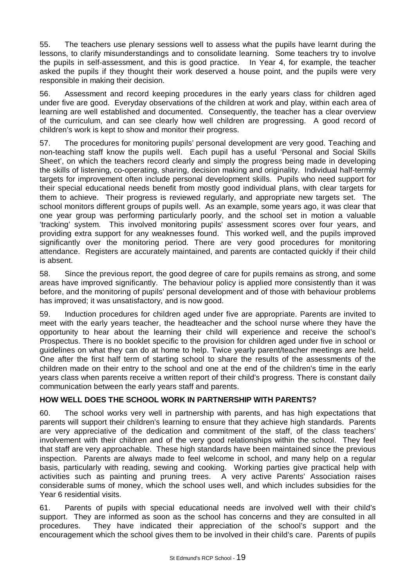55. The teachers use plenary sessions well to assess what the pupils have learnt during the lessons, to clarify misunderstandings and to consolidate learning. Some teachers try to involve the pupils in self-assessment, and this is good practice. In Year 4, for example, the teacher asked the pupils if they thought their work deserved a house point, and the pupils were very responsible in making their decision.

56. Assessment and record keeping procedures in the early years class for children aged under five are good. Everyday observations of the children at work and play, within each area of learning are well established and documented. Consequently, the teacher has a clear overview of the curriculum, and can see clearly how well children are progressing. A good record of children's work is kept to show and monitor their progress.

57. The procedures for monitoring pupils' personal development are very good. Teaching and non-teaching staff know the pupils well. Each pupil has a useful 'Personal and Social Skills Sheet', on which the teachers record clearly and simply the progress being made in developing the skills of listening, co-operating, sharing, decision making and originality. Individual half-termly targets for improvement often include personal development skills. Pupils who need support for their special educational needs benefit from mostly good individual plans, with clear targets for them to achieve. Their progress is reviewed regularly, and appropriate new targets set. The school monitors different groups of pupils well. As an example, some years ago, it was clear that one year group was performing particularly poorly, and the school set in motion a valuable 'tracking' system. This involved monitoring pupils' assessment scores over four years, and providing extra support for any weaknesses found. This worked well, and the pupils improved significantly over the monitoring period. There are very good procedures for monitoring attendance. Registers are accurately maintained, and parents are contacted quickly if their child is absent.

58. Since the previous report, the good degree of care for pupils remains as strong, and some areas have improved significantly. The behaviour policy is applied more consistently than it was before, and the monitoring of pupils' personal development and of those with behaviour problems has improved; it was unsatisfactory, and is now good.

59. Induction procedures for children aged under five are appropriate. Parents are invited to meet with the early years teacher, the headteacher and the school nurse where they have the opportunity to hear about the learning their child will experience and receive the school's Prospectus. There is no booklet specific to the provision for children aged under five in school or guidelines on what they can do at home to help. Twice yearly parent/teacher meetings are held. One after the first half term of starting school to share the results of the assessments of the children made on their entry to the school and one at the end of the children's time in the early years class when parents receive a written report of their child's progress. There is constant daily communication between the early years staff and parents.

# **HOW WELL DOES THE SCHOOL WORK IN PARTNERSHIP WITH PARENTS?**

60. The school works very well in partnership with parents, and has high expectations that parents will support their children's learning to ensure that they achieve high standards. Parents are very appreciative of the dedication and commitment of the staff, of the class teachers' involvement with their children and of the very good relationships within the school. They feel that staff are very approachable. These high standards have been maintained since the previous inspection. Parents are always made to feel welcome in school, and many help on a regular basis, particularly with reading, sewing and cooking. Working parties give practical help with activities such as painting and pruning trees. A very active Parents' Association raises considerable sums of money, which the school uses well, and which includes subsidies for the Year 6 residential visits.

61. Parents of pupils with special educational needs are involved well with their child's support. They are informed as soon as the school has concerns and they are consulted in all procedures. They have indicated their appreciation of the school's support and the encouragement which the school gives them to be involved in their child's care. Parents of pupils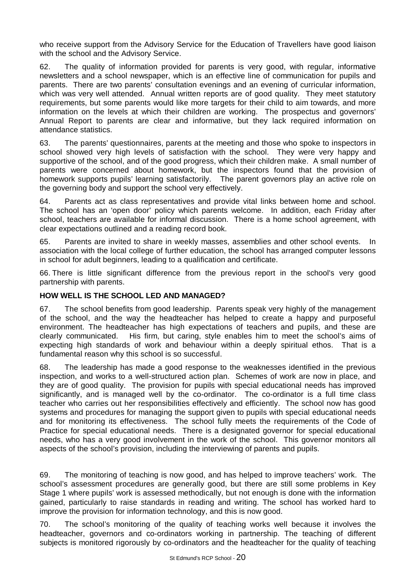who receive support from the Advisory Service for the Education of Travellers have good liaison with the school and the Advisory Service.

62. The quality of information provided for parents is very good, with regular, informative newsletters and a school newspaper, which is an effective line of communication for pupils and parents. There are two parents' consultation evenings and an evening of curricular information, which was very well attended. Annual written reports are of good quality. They meet statutory requirements, but some parents would like more targets for their child to aim towards, and more information on the levels at which their children are working. The prospectus and governors' Annual Report to parents are clear and informative, but they lack required information on attendance statistics.

63. The parents' questionnaires, parents at the meeting and those who spoke to inspectors in school showed very high levels of satisfaction with the school. They were very happy and supportive of the school, and of the good progress, which their children make. A small number of parents were concerned about homework, but the inspectors found that the provision of homework supports pupils' learning satisfactorily. The parent governors play an active role on the governing body and support the school very effectively.

64. Parents act as class representatives and provide vital links between home and school. The school has an 'open door' policy which parents welcome. In addition, each Friday after school, teachers are available for informal discussion. There is a home school agreement, with clear expectations outlined and a reading record book.

65. Parents are invited to share in weekly masses, assemblies and other school events. In association with the local college of further education, the school has arranged computer lessons in school for adult beginners, leading to a qualification and certificate.

66. There is little significant difference from the previous report in the school's very good partnership with parents.

# **HOW WELL IS THE SCHOOL LED AND MANAGED?**

67. The school benefits from good leadership. Parents speak very highly of the management of the school, and the way the headteacher has helped to create a happy and purposeful environment. The headteacher has high expectations of teachers and pupils, and these are clearly communicated. His firm, but caring, style enables him to meet the school's aims of expecting high standards of work and behaviour within a deeply spiritual ethos. That is a fundamental reason why this school is so successful.

68. The leadership has made a good response to the weaknesses identified in the previous inspection, and works to a well-structured action plan. Schemes of work are now in place, and they are of good quality. The provision for pupils with special educational needs has improved significantly, and is managed well by the co-ordinator. The co-ordinator is a full time class teacher who carries out her responsibilities effectively and efficiently. The school now has good systems and procedures for managing the support given to pupils with special educational needs and for monitoring its effectiveness. The school fully meets the requirements of the Code of Practice for special educational needs. There is a designated governor for special educational needs, who has a very good involvement in the work of the school. This governor monitors all aspects of the school's provision, including the interviewing of parents and pupils.

69. The monitoring of teaching is now good, and has helped to improve teachers' work. The school's assessment procedures are generally good, but there are still some problems in Key Stage 1 where pupils' work is assessed methodically, but not enough is done with the information gained, particularly to raise standards in reading and writing. The school has worked hard to improve the provision for information technology, and this is now good.

70. The school's monitoring of the quality of teaching works well because it involves the headteacher, governors and co-ordinators working in partnership. The teaching of different subjects is monitored rigorously by co-ordinators and the headteacher for the quality of teaching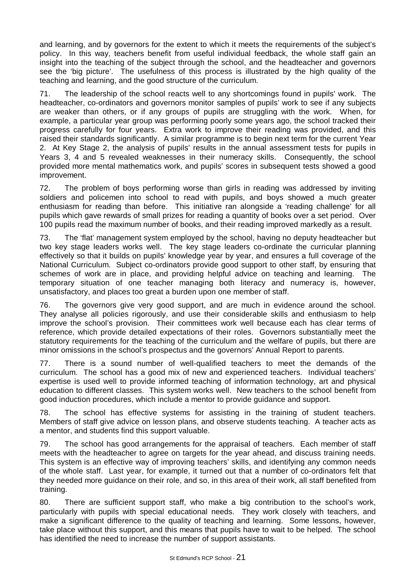and learning, and by governors for the extent to which it meets the requirements of the subject's policy. In this way, teachers benefit from useful individual feedback, the whole staff gain an insight into the teaching of the subject through the school, and the headteacher and governors see the 'big picture'. The usefulness of this process is illustrated by the high quality of the teaching and learning, and the good structure of the curriculum.

71. The leadership of the school reacts well to any shortcomings found in pupils' work. The headteacher, co-ordinators and governors monitor samples of pupils' work to see if any subjects are weaker than others, or if any groups of pupils are struggling with the work. When, for example, a particular year group was performing poorly some years ago, the school tracked their progress carefully for four years. Extra work to improve their reading was provided, and this raised their standards significantly. A similar programme is to begin next term for the current Year 2. At Key Stage 2, the analysis of pupils' results in the annual assessment tests for pupils in Years 3, 4 and 5 revealed weaknesses in their numeracy skills. Consequently, the school provided more mental mathematics work, and pupils' scores in subsequent tests showed a good improvement.

72. The problem of boys performing worse than girls in reading was addressed by inviting soldiers and policemen into school to read with pupils, and boys showed a much greater enthusiasm for reading than before. This initiative ran alongside a 'reading challenge' for all pupils which gave rewards of small prizes for reading a quantity of books over a set period. Over 100 pupils read the maximum number of books, and their reading improved markedly as a result.

73. The 'flat' management system employed by the school, having no deputy headteacher but two key stage leaders works well. The key stage leaders co-ordinate the curricular planning effectively so that it builds on pupils' knowledge year by year, and ensures a full coverage of the National Curriculum. Subject co-ordinators provide good support to other staff, by ensuring that schemes of work are in place, and providing helpful advice on teaching and learning. The temporary situation of one teacher managing both literacy and numeracy is, however, unsatisfactory, and places too great a burden upon one member of staff.

76. The governors give very good support, and are much in evidence around the school. They analyse all policies rigorously, and use their considerable skills and enthusiasm to help improve the school's provision. Their committees work well because each has clear terms of reference, which provide detailed expectations of their roles. Governors substantially meet the statutory requirements for the teaching of the curriculum and the welfare of pupils, but there are minor omissions in the school's prospectus and the governors' Annual Report to parents.

77. There is a sound number of well-qualified teachers to meet the demands of the curriculum. The school has a good mix of new and experienced teachers. Individual teachers' expertise is used well to provide informed teaching of information technology, art and physical education to different classes. This system works well. New teachers to the school benefit from good induction procedures, which include a mentor to provide guidance and support.

78. The school has effective systems for assisting in the training of student teachers. Members of staff give advice on lesson plans, and observe students teaching. A teacher acts as a mentor, and students find this support valuable.

79. The school has good arrangements for the appraisal of teachers. Each member of staff meets with the headteacher to agree on targets for the year ahead, and discuss training needs. This system is an effective way of improving teachers' skills, and identifying any common needs of the whole staff. Last year, for example, it turned out that a number of co-ordinators felt that they needed more guidance on their role, and so, in this area of their work, all staff benefited from training.

80. There are sufficient support staff, who make a big contribution to the school's work, particularly with pupils with special educational needs. They work closely with teachers, and make a significant difference to the quality of teaching and learning. Some lessons, however, take place without this support, and this means that pupils have to wait to be helped. The school has identified the need to increase the number of support assistants.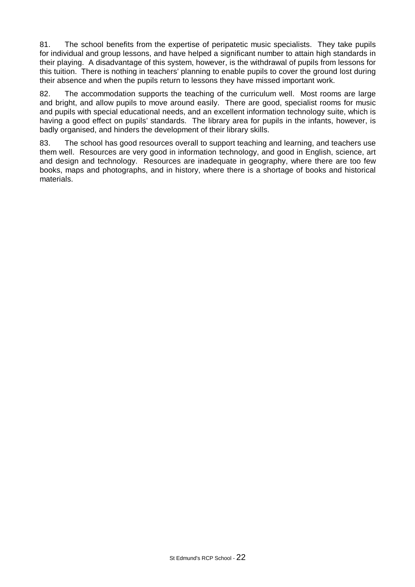81. The school benefits from the expertise of peripatetic music specialists. They take pupils for individual and group lessons, and have helped a significant number to attain high standards in their playing. A disadvantage of this system, however, is the withdrawal of pupils from lessons for this tuition. There is nothing in teachers' planning to enable pupils to cover the ground lost during their absence and when the pupils return to lessons they have missed important work.

82. The accommodation supports the teaching of the curriculum well. Most rooms are large and bright, and allow pupils to move around easily. There are good, specialist rooms for music and pupils with special educational needs, and an excellent information technology suite, which is having a good effect on pupils' standards. The library area for pupils in the infants, however, is badly organised, and hinders the development of their library skills.

83. The school has good resources overall to support teaching and learning, and teachers use them well. Resources are very good in information technology, and good in English, science, art and design and technology. Resources are inadequate in geography, where there are too few books, maps and photographs, and in history, where there is a shortage of books and historical materials.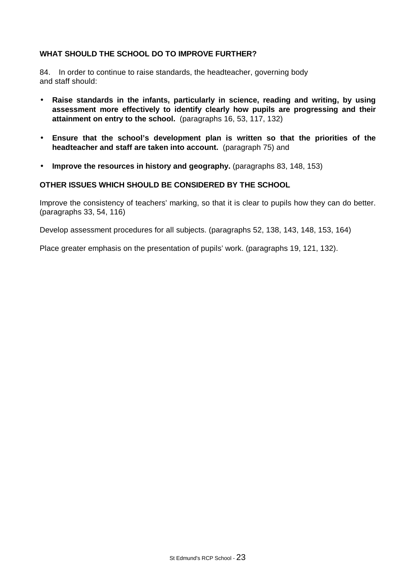# WHAT SHOULD THE SCHOOL DO TO IMPROVE FURTHER?

84. In order to continue to raise standards, the headteacher, governing body and staff should:

- **Raise standards in the infants, particularly in science, reading and writing, by using assessment more effectively to identify clearly how pupils are progressing and their attainment on entry to the school.** (paragraphs 16, 53, 117, 132)
- **Ensure that the school's development plan is written so that the priorities of the headteacher and staff are taken into account.** (paragraph 75) and
- **Improve the resources in history and geography.** (paragraphs 83, 148, 153)

### **OTHER ISSUES WHICH SHOULD BE CONSIDERED BY THE SCHOOL**

Improve the consistency of teachers' marking, so that it is clear to pupils how they can do better. (paragraphs 33, 54, 116)

Develop assessment procedures for all subjects. (paragraphs 52, 138, 143, 148, 153, 164)

Place greater emphasis on the presentation of pupils' work. (paragraphs 19, 121, 132).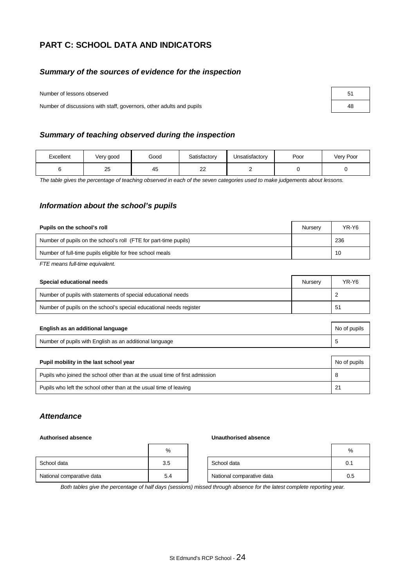# **PART C: SCHOOL DATA AND INDICATORS**

## *Summary of the sources of evidence for the inspection*

Number of lessons observed

Number of discussions with staff, governors, other adults and pupils

| 51 |  |
|----|--|
| 48 |  |

### *Summary of teaching observed during the inspection*

| Excellent | Very good | Good | Satisfactory | Unsatisfactory | Poor | Very Poor |
|-----------|-----------|------|--------------|----------------|------|-----------|
|           | つに<br>دے  | 45   | ົ<br>--      |                |      |           |

*The table gives the percentage of teaching observed in each of the seven categories used to make judgements about lessons.*

### *Information about the school's pupils*

| Pupils on the school's roll                                      | Nurserv | YR-Y6 |
|------------------------------------------------------------------|---------|-------|
| Number of pupils on the school's roll (FTE for part-time pupils) |         | 236   |
| Number of full-time pupils eligible for free school meals        |         | 10    |

*FTE means full-time equivalent.*

| Special educational needs                                           | Nurserv | YR-Y6 |
|---------------------------------------------------------------------|---------|-------|
| Number of pupils with statements of special educational needs       |         |       |
| Number of pupils on the school's special educational needs register |         | 51    |

| English as an additional language                       | No of pupils |
|---------------------------------------------------------|--------------|
| Number of pupils with English as an additional language |              |

| Pupil mobility in the last school year                                       | No of pupils |
|------------------------------------------------------------------------------|--------------|
| Pupils who joined the school other than at the usual time of first admission |              |
| Pupils who left the school other than at the usual time of leaving           | 21           |

# *Attendance*

#### **Authorised absence Unauthorised absence**

|                           | %   |                           | %   |
|---------------------------|-----|---------------------------|-----|
| School data               | 3.5 | School data               | 0.1 |
| National comparative data | 5.4 | National comparative data | 0.5 |

*Both tables give the percentage of half days (sessions) missed through absence for the latest complete reporting year.*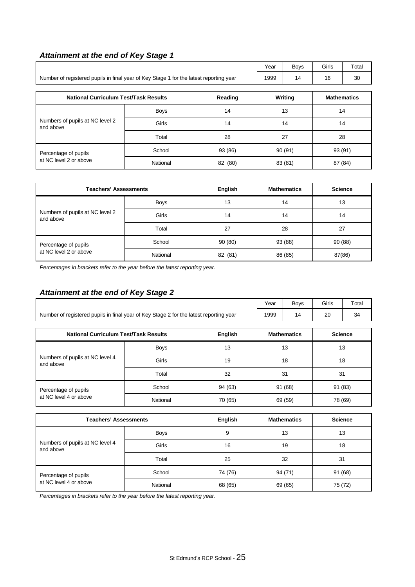# *Attainment at the end of Key Stage 1*

|                                                                                        |             |         | Year   | <b>Boys</b> | Girls   | Total              |
|----------------------------------------------------------------------------------------|-------------|---------|--------|-------------|---------|--------------------|
| Number of registered pupils in final year of Key Stage 1 for the latest reporting year |             |         | 1999   | 14          | 16      | 30                 |
|                                                                                        |             |         |        |             |         |                    |
| <b>National Curriculum Test/Task Results</b><br>Reading                                |             |         |        | Writing     |         | <b>Mathematics</b> |
| Numbers of pupils at NC level 2<br>and above                                           | <b>Boys</b> | 14      | 13     |             | 14      |                    |
|                                                                                        | Girls       | 14      | 14     |             | 14      |                    |
|                                                                                        | Total       | 28      |        | 27          |         | 28                 |
| Percentage of pupils                                                                   | School      | 93 (86) | 90(91) |             | 93 (91) |                    |
| at NC level 2 or above                                                                 | National    | 82 (80) |        | 83 (81)     | 87 (84) |                    |

| <b>Teachers' Assessments</b>                   |             | English | <b>Mathematics</b> | <b>Science</b> |
|------------------------------------------------|-------------|---------|--------------------|----------------|
| Numbers of pupils at NC level 2<br>and above   | <b>Boys</b> | 13      | 14                 | 13             |
|                                                | Girls       | 14      | 14                 | 14             |
|                                                | Total       | 27      | 28                 | 27             |
| Percentage of pupils<br>at NC level 2 or above | School      | 90(80)  | 93 (88)            | 90(88)         |
|                                                | National    | 82 (81) | 86 (85)            | 87(86)         |

*Percentages in brackets refer to the year before the latest reporting year.*

# *Attainment at the end of Key Stage 2*

|                                                                                        | Yeaı | Bovs | Girls | Tota <sub>r</sub> |
|----------------------------------------------------------------------------------------|------|------|-------|-------------------|
| Number of registered pupils in final year of Key Stage 2 for the latest reporting year | 1999 |      |       |                   |

| <b>National Curriculum Test/Task Results</b>   |             | English | <b>Mathematics</b> | <b>Science</b> |
|------------------------------------------------|-------------|---------|--------------------|----------------|
| Numbers of pupils at NC level 4<br>and above   | <b>Boys</b> | 13      | 13                 | 13             |
|                                                | Girls       | 19      | 18                 | 18             |
|                                                | Total       | 32      | 31                 | 31             |
| Percentage of pupils<br>at NC level 4 or above | School      | 94 (63) | 91 (68)            | 91 (83)        |
|                                                | National    | 70 (65) | 69 (59)            | 78 (69)        |

| <b>Teachers' Assessments</b>                   |             | English | <b>Mathematics</b> | <b>Science</b> |
|------------------------------------------------|-------------|---------|--------------------|----------------|
| Numbers of pupils at NC level 4<br>and above   | <b>Boys</b> | 9       | 13                 | 13             |
|                                                | Girls       | 16      | 19                 | 18             |
|                                                | Total       | 25      | 32                 | 31             |
| Percentage of pupils<br>at NC level 4 or above | School      | 74 (76) | 94 (71)            | 91 (68)        |
|                                                | National    | 68 (65) | 69 (65)            | 75 (72)        |

*Percentages in brackets refer to the year before the latest reporting year.*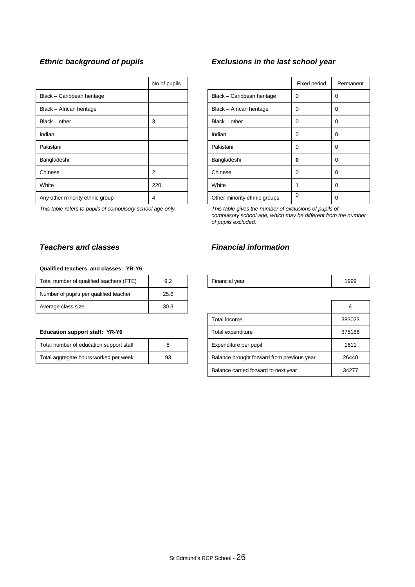|                                 | No of pupils |                              | Fixed period |          |
|---------------------------------|--------------|------------------------------|--------------|----------|
| Black - Caribbean heritage      |              | Black - Caribbean heritage   | $\Omega$     | $\Omega$ |
| Black - African heritage        |              | Black - African heritage     | 0            | $\Omega$ |
| $Black - other$                 | 3            | $Black - other$              | 0            | $\Omega$ |
| Indian                          |              | Indian                       | 0            | $\Omega$ |
| Pakistani                       |              | Pakistani                    | 0            | $\Omega$ |
| Bangladeshi                     |              | Bangladeshi                  | 0            | $\Omega$ |
| Chinese                         | 2            | Chinese                      | $\Omega$     | $\Omega$ |
| White                           | 220          | White                        |              | 0        |
| Any other minority ethnic group | 4            | Other minority ethnic groups | 0            | 0        |

### *Teachers and classes Financial information*

#### **Qualified teachers and classes: YR-Y6**

| Total number of qualified teachers (FTE) | 9.2  | Financial year | 1999 |
|------------------------------------------|------|----------------|------|
| Number of pupils per qualified teacher   | 25.6 |                |      |
| Average class size                       | 30.3 |                |      |

#### **Education support staff: YR-Y6**

| Total number of education support staff |    |
|-----------------------------------------|----|
| Total aggregate hours worked per week   | 93 |

# *Ethnic background of pupils Exclusions in the last school year*

| No of pupils |                              | Fixed period | Permanent |
|--------------|------------------------------|--------------|-----------|
|              | Black - Caribbean heritage   | 0            | 0         |
|              | Black - African heritage     | 0            | 0         |
| 3            | $Black - other$              | 0            | 0         |
|              | Indian                       | 0            | 0         |
|              | Pakistani                    | 0            | 0         |
|              | Bangladeshi                  | 0            | 0         |
| 2            | Chinese                      | 0            | 0         |
| 220          | White                        | 1            | 0         |
| 4            | Other minority ethnic groups | 0            | 0         |

*This table refers to pupils of compulsory school age only. This table gives the number of exclusions of pupils of compulsory school age, which may be different from the number of pupils excluded.*

| Financial year | 1999 |
|----------------|------|
|                |      |

| Average class size                      | 30.3 |                                            |        |
|-----------------------------------------|------|--------------------------------------------|--------|
|                                         |      | Total income                               | 383023 |
| <b>Education support staff: YR-Y6</b>   |      | Total expenditure                          | 375186 |
| Total number of education support staff | 8    | Expenditure per pupil                      | 1611   |
| Total aggregate hours worked per week   | 93   | Balance brought forward from previous year | 26440  |
|                                         |      | Balance carried forward to next year       | 34277  |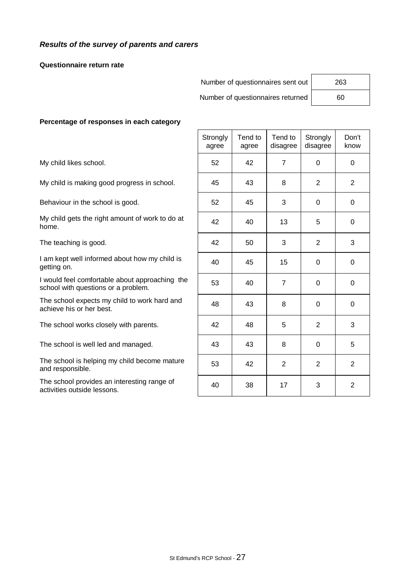# *Results of the survey of parents and carers*

#### **Questionnaire return rate**

| Number of questionnaires sent out | 263 |
|-----------------------------------|-----|
| Number of questionnaires returned | 60  |

#### **Percentage of responses in each category**

|                                                                                       | Strongly<br>agree | Tend to<br>agree | Tend to<br>disagree | Strongly<br>disagree | Don't<br>know  |
|---------------------------------------------------------------------------------------|-------------------|------------------|---------------------|----------------------|----------------|
| My child likes school.                                                                | 52                | 42               | $\overline{7}$      | $\Omega$             | $\Omega$       |
| My child is making good progress in school.                                           | 45                | 43               | 8                   | 2                    | $\overline{2}$ |
| Behaviour in the school is good.                                                      | 52                | 45               | 3                   | $\Omega$             | $\Omega$       |
| My child gets the right amount of work to do at<br>home.                              | 42                | 40               | 13                  | 5                    | $\Omega$       |
| The teaching is good.                                                                 | 42                | 50               | 3                   | 2                    | 3              |
| I am kept well informed about how my child is<br>getting on.                          | 40                | 45               | 15                  | $\Omega$             | $\mathbf 0$    |
| I would feel comfortable about approaching the<br>school with questions or a problem. | 53                | 40               | $\overline{7}$      | $\Omega$             | 0              |
| The school expects my child to work hard and<br>achieve his or her best.              | 48                | 43               | 8                   | $\Omega$             | 0              |
| The school works closely with parents.                                                | 42                | 48               | 5                   | 2                    | 3              |
| The school is well led and managed.                                                   | 43                | 43               | 8                   | $\mathbf 0$          | 5              |
| The school is helping my child become mature<br>and responsible.                      | 53                | 42               | $\overline{2}$      | 2                    | $\overline{2}$ |
| The school provides an interesting range of<br>activities outside lessons.            | 40                | 38               | 17                  | 3                    | $\overline{2}$ |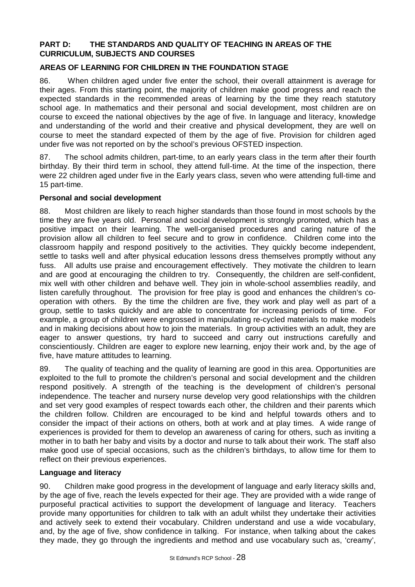# **PART D: THE STANDARDS AND QUALITY OF TEACHING IN AREAS OF THE CURRICULUM, SUBJECTS AND COURSES**

# **AREAS OF LEARNING FOR CHILDREN IN THE FOUNDATION STAGE**

86. When children aged under five enter the school, their overall attainment is average for their ages. From this starting point, the majority of children make good progress and reach the expected standards in the recommended areas of learning by the time they reach statutory school age. In mathematics and their personal and social development, most children are on course to exceed the national objectives by the age of five. In language and literacy, knowledge and understanding of the world and their creative and physical development, they are well on course to meet the standard expected of them by the age of five. Provision for children aged under five was not reported on by the school's previous OFSTED inspection.

87. The school admits children, part-time, to an early years class in the term after their fourth birthday. By their third term in school, they attend full-time. At the time of the inspection, there were 22 children aged under five in the Early years class, seven who were attending full-time and 15 part-time.

# **Personal and social development**

88. Most children are likely to reach higher standards than those found in most schools by the time they are five years old. Personal and social development is strongly promoted, which has a positive impact on their learning. The well-organised procedures and caring nature of the provision allow all children to feel secure and to grow in confidence. Children come into the classroom happily and respond positively to the activities. They quickly become independent, settle to tasks well and after physical education lessons dress themselves promptly without any fuss. All adults use praise and encouragement effectively. They motivate the children to learn and are good at encouraging the children to try. Consequently, the children are self-confident, mix well with other children and behave well. They join in whole-school assemblies readily, and listen carefully throughout. The provision for free play is good and enhances the children's cooperation with others. By the time the children are five, they work and play well as part of a group, settle to tasks quickly and are able to concentrate for increasing periods of time. For example, a group of children were engrossed in manipulating re-cycled materials to make models and in making decisions about how to join the materials. In group activities with an adult, they are eager to answer questions, try hard to succeed and carry out instructions carefully and conscientiously. Children are eager to explore new learning, enjoy their work and, by the age of five, have mature attitudes to learning.

89. The quality of teaching and the quality of learning are good in this area. Opportunities are exploited to the full to promote the children's personal and social development and the children respond positively. A strength of the teaching is the development of children's personal independence. The teacher and nursery nurse develop very good relationships with the children and set very good examples of respect towards each other, the children and their parents which the children follow. Children are encouraged to be kind and helpful towards others and to consider the impact of their actions on others, both at work and at play times. A wide range of experiences is provided for them to develop an awareness of caring for others, such as inviting a mother in to bath her baby and visits by a doctor and nurse to talk about their work. The staff also make good use of special occasions, such as the children's birthdays, to allow time for them to reflect on their previous experiences.

# **Language and literacy**

90. Children make good progress in the development of language and early literacy skills and, by the age of five, reach the levels expected for their age. They are provided with a wide range of purposeful practical activities to support the development of language and literacy. Teachers provide many opportunities for children to talk with an adult whilst they undertake their activities and actively seek to extend their vocabulary. Children understand and use a wide vocabulary, and, by the age of five, show confidence in talking. For instance, when talking about the cakes they made, they go through the ingredients and method and use vocabulary such as, 'creamy',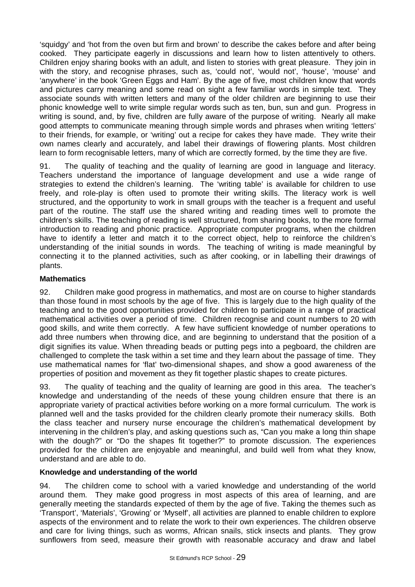'squidgy' and 'hot from the oven but firm and brown' to describe the cakes before and after being cooked. They participate eagerly in discussions and learn how to listen attentively to others. Children enjoy sharing books with an adult, and listen to stories with great pleasure. They join in with the story, and recognise phrases, such as, 'could not', 'would not', 'house', 'mouse' and 'anywhere' in the book 'Green Eggs and Ham'. By the age of five, most children know that words and pictures carry meaning and some read on sight a few familiar words in simple text. They associate sounds with written letters and many of the older children are beginning to use their phonic knowledge well to write simple regular words such as ten, bun, sun and gun. Progress in writing is sound, and, by five, children are fully aware of the purpose of writing. Nearly all make good attempts to communicate meaning through simple words and phrases when writing 'letters' to their friends, for example, or 'writing' out a recipe for cakes they have made. They write their own names clearly and accurately, and label their drawings of flowering plants. Most children learn to form recognisable letters, many of which are correctly formed, by the time they are five.

91. The quality of teaching and the quality of learning are good in language and literacy. Teachers understand the importance of language development and use a wide range of strategies to extend the children's learning. The 'writing table' is available for children to use freely, and role-play is often used to promote their writing skills. The literacy work is well structured, and the opportunity to work in small groups with the teacher is a frequent and useful part of the routine. The staff use the shared writing and reading times well to promote the children's skills. The teaching of reading is well structured, from sharing books, to the more formal introduction to reading and phonic practice. Appropriate computer programs, when the children have to identify a letter and match it to the correct object, help to reinforce the children's understanding of the initial sounds in words. The teaching of writing is made meaningful by connecting it to the planned activities, such as after cooking, or in labelling their drawings of plants.

# **Mathematics**

92. Children make good progress in mathematics, and most are on course to higher standards than those found in most schools by the age of five. This is largely due to the high quality of the teaching and to the good opportunities provided for children to participate in a range of practical mathematical activities over a period of time. Children recognise and count numbers to 20 with good skills, and write them correctly. A few have sufficient knowledge of number operations to add three numbers when throwing dice, and are beginning to understand that the position of a digit signifies its value. When threading beads or putting pegs into a pegboard, the children are challenged to complete the task within a set time and they learn about the passage of time. They use mathematical names for 'flat' two-dimensional shapes, and show a good awareness of the properties of position and movement as they fit together plastic shapes to create pictures.

93. The quality of teaching and the quality of learning are good in this area. The teacher's knowledge and understanding of the needs of these young children ensure that there is an appropriate variety of practical activities before working on a more formal curriculum. The work is planned well and the tasks provided for the children clearly promote their numeracy skills. Both the class teacher and nursery nurse encourage the children's mathematical development by intervening in the children's play, and asking questions such as, "Can you make a long thin shape with the dough?" or "Do the shapes fit together?" to promote discussion. The experiences provided for the children are enjoyable and meaningful, and build well from what they know, understand and are able to do.

# **Knowledge and understanding of the world**

94. The children come to school with a varied knowledge and understanding of the world around them. They make good progress in most aspects of this area of learning, and are generally meeting the standards expected of them by the age of five. Taking the themes such as 'Transport', 'Materials', 'Growing' or 'Myself', all activities are planned to enable children to explore aspects of the environment and to relate the work to their own experiences. The children observe and care for living things, such as worms, African snails, stick insects and plants. They grow sunflowers from seed, measure their growth with reasonable accuracy and draw and label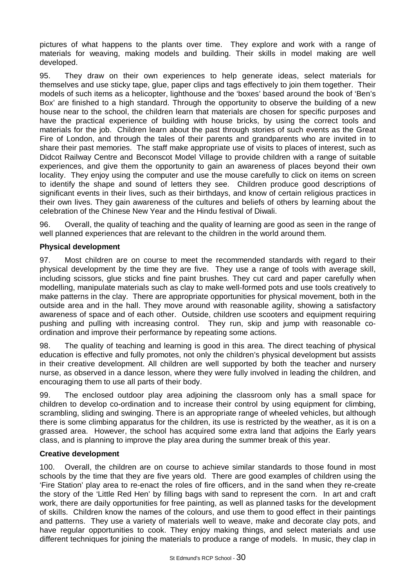pictures of what happens to the plants over time. They explore and work with a range of materials for weaving, making models and building. Their skills in model making are well developed.

95. They draw on their own experiences to help generate ideas, select materials for themselves and use sticky tape, glue, paper clips and tags effectively to join them together. Their models of such items as a helicopter, lighthouse and the 'boxes' based around the book of 'Ben's Box' are finished to a high standard. Through the opportunity to observe the building of a new house near to the school, the children learn that materials are chosen for specific purposes and have the practical experience of building with house bricks, by using the correct tools and materials for the job. Children learn about the past through stories of such events as the Great Fire of London, and through the tales of their parents and grandparents who are invited in to share their past memories. The staff make appropriate use of visits to places of interest, such as Didcot Railway Centre and Beconscot Model Village to provide children with a range of suitable experiences, and give them the opportunity to gain an awareness of places beyond their own locality. They enjoy using the computer and use the mouse carefully to click on items on screen to identify the shape and sound of letters they see. Children produce good descriptions of significant events in their lives, such as their birthdays, and know of certain religious practices in their own lives. They gain awareness of the cultures and beliefs of others by learning about the celebration of the Chinese New Year and the Hindu festival of Diwali.

96. Overall, the quality of teaching and the quality of learning are good as seen in the range of well planned experiences that are relevant to the children in the world around them.

# **Physical development**

97. Most children are on course to meet the recommended standards with regard to their physical development by the time they are five. They use a range of tools with average skill, including scissors, glue sticks and fine paint brushes. They cut card and paper carefully when modelling, manipulate materials such as clay to make well-formed pots and use tools creatively to make patterns in the clay. There are appropriate opportunities for physical movement, both in the outside area and in the hall. They move around with reasonable agility, showing a satisfactory awareness of space and of each other. Outside, children use scooters and equipment requiring pushing and pulling with increasing control. They run, skip and jump with reasonable coordination and improve their performance by repeating some actions.

98. The quality of teaching and learning is good in this area. The direct teaching of physical education is effective and fully promotes, not only the children's physical development but assists in their creative development. All children are well supported by both the teacher and nursery nurse, as observed in a dance lesson, where they were fully involved in leading the children, and encouraging them to use all parts of their body.

99. The enclosed outdoor play area adjoining the classroom only has a small space for children to develop co-ordination and to increase their control by using equipment for climbing, scrambling, sliding and swinging. There is an appropriate range of wheeled vehicles, but although there is some climbing apparatus for the children, its use is restricted by the weather, as it is on a grassed area. However, the school has acquired some extra land that adjoins the Early years class, and is planning to improve the play area during the summer break of this year.

# **Creative development**

100. Overall, the children are on course to achieve similar standards to those found in most schools by the time that they are five years old. There are good examples of children using the 'Fire Station' play area to re-enact the roles of fire officers, and in the sand when they re-create the story of the 'Little Red Hen' by filling bags with sand to represent the corn. In art and craft work, there are daily opportunities for free painting, as well as planned tasks for the development of skills. Children know the names of the colours, and use them to good effect in their paintings and patterns. They use a variety of materials well to weave, make and decorate clay pots, and have regular opportunities to cook. They enjoy making things, and select materials and use different techniques for joining the materials to produce a range of models. In music, they clap in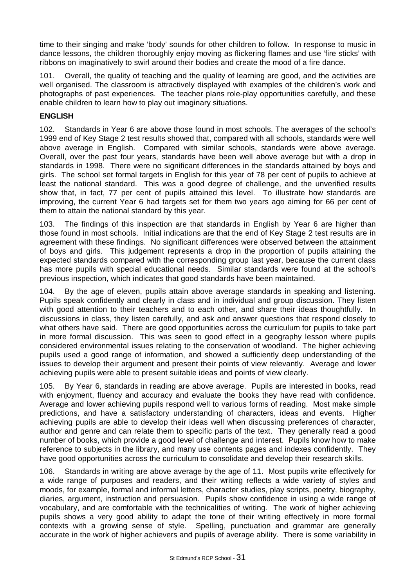time to their singing and make 'body' sounds for other children to follow. In response to music in dance lessons, the children thoroughly enjoy moving as flickering flames and use 'fire sticks' with ribbons on imaginatively to swirl around their bodies and create the mood of a fire dance.

101. Overall, the quality of teaching and the quality of learning are good, and the activities are well organised. The classroom is attractively displayed with examples of the children's work and photographs of past experiences. The teacher plans role-play opportunities carefully, and these enable children to learn how to play out imaginary situations.

# **ENGLISH**

102. Standards in Year 6 are above those found in most schools. The averages of the school's 1999 end of Key Stage 2 test results showed that, compared with all schools, standards were well above average in English. Compared with similar schools, standards were above average. Overall, over the past four years, standards have been well above average but with a drop in standards in 1998. There were no significant differences in the standards attained by boys and girls. The school set formal targets in English for this year of 78 per cent of pupils to achieve at least the national standard. This was a good degree of challenge, and the unverified results show that, in fact, 77 per cent of pupils attained this level. To illustrate how standards are improving, the current Year 6 had targets set for them two years ago aiming for 66 per cent of them to attain the national standard by this year.

103. The findings of this inspection are that standards in English by Year 6 are higher than those found in most schools. Initial indications are that the end of Key Stage 2 test results are in agreement with these findings. No significant differences were observed between the attainment of boys and girls. This judgement represents a drop in the proportion of pupils attaining the expected standards compared with the corresponding group last year, because the current class has more pupils with special educational needs. Similar standards were found at the school's previous inspection, which indicates that good standards have been maintained.

104. By the age of eleven, pupils attain above average standards in speaking and listening. Pupils speak confidently and clearly in class and in individual and group discussion. They listen with good attention to their teachers and to each other, and share their ideas thoughtfully. In discussions in class, they listen carefully, and ask and answer questions that respond closely to what others have said. There are good opportunities across the curriculum for pupils to take part in more formal discussion. This was seen to good effect in a geography lesson where pupils considered environmental issues relating to the conservation of woodland. The higher achieving pupils used a good range of information, and showed a sufficiently deep understanding of the issues to develop their argument and present their points of view relevantly. Average and lower achieving pupils were able to present suitable ideas and points of view clearly.

105. By Year 6, standards in reading are above average. Pupils are interested in books, read with enjoyment, fluency and accuracy and evaluate the books they have read with confidence. Average and lower achieving pupils respond well to various forms of reading. Most make simple predictions, and have a satisfactory understanding of characters, ideas and events. Higher achieving pupils are able to develop their ideas well when discussing preferences of character, author and genre and can relate them to specific parts of the text. They generally read a good number of books, which provide a good level of challenge and interest. Pupils know how to make reference to subjects in the library, and many use contents pages and indexes confidently. They have good opportunities across the curriculum to consolidate and develop their research skills.

106. Standards in writing are above average by the age of 11. Most pupils write effectively for a wide range of purposes and readers, and their writing reflects a wide variety of styles and moods, for example, formal and informal letters, character studies, play scripts, poetry, biography, diaries, argument, instruction and persuasion. Pupils show confidence in using a wide range of vocabulary, and are comfortable with the technicalities of writing. The work of higher achieving pupils shows a very good ability to adapt the tone of their writing effectively in more formal contexts with a growing sense of style. Spelling, punctuation and grammar are generally accurate in the work of higher achievers and pupils of average ability. There is some variability in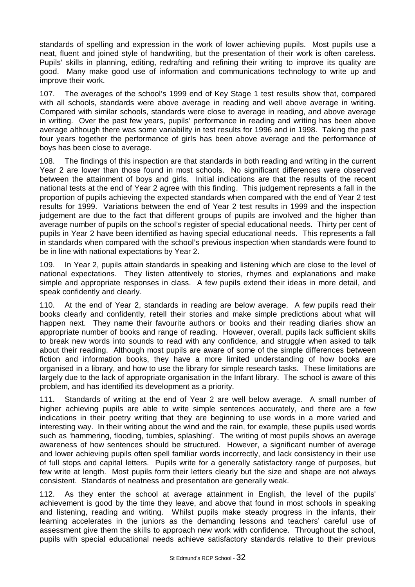standards of spelling and expression in the work of lower achieving pupils. Most pupils use a neat, fluent and joined style of handwriting, but the presentation of their work is often careless. Pupils' skills in planning, editing, redrafting and refining their writing to improve its quality are good. Many make good use of information and communications technology to write up and improve their work.

107. The averages of the school's 1999 end of Key Stage 1 test results show that, compared with all schools, standards were above average in reading and well above average in writing. Compared with similar schools, standards were close to average in reading, and above average in writing. Over the past few years, pupils' performance in reading and writing has been above average although there was some variability in test results for 1996 and in 1998. Taking the past four years together the performance of girls has been above average and the performance of boys has been close to average.

108. The findings of this inspection are that standards in both reading and writing in the current Year 2 are lower than those found in most schools. No significant differences were observed between the attainment of boys and girls. Initial indications are that the results of the recent national tests at the end of Year 2 agree with this finding. This judgement represents a fall in the proportion of pupils achieving the expected standards when compared with the end of Year 2 test results for 1999. Variations between the end of Year 2 test results in 1999 and the inspection judgement are due to the fact that different groups of pupils are involved and the higher than average number of pupils on the school's register of special educational needs. Thirty per cent of pupils in Year 2 have been identified as having special educational needs. This represents a fall in standards when compared with the school's previous inspection when standards were found to be in line with national expectations by Year 2.

109. In Year 2, pupils attain standards in speaking and listening which are close to the level of national expectations. They listen attentively to stories, rhymes and explanations and make simple and appropriate responses in class. A few pupils extend their ideas in more detail, and speak confidently and clearly.

110. At the end of Year 2, standards in reading are below average. A few pupils read their books clearly and confidently, retell their stories and make simple predictions about what will happen next. They name their favourite authors or books and their reading diaries show an appropriate number of books and range of reading. However, overall, pupils lack sufficient skills to break new words into sounds to read with any confidence, and struggle when asked to talk about their reading. Although most pupils are aware of some of the simple differences between fiction and information books, they have a more limited understanding of how books are organised in a library, and how to use the library for simple research tasks. These limitations are largely due to the lack of appropriate organisation in the Infant library. The school is aware of this problem, and has identified its development as a priority.

111. Standards of writing at the end of Year 2 are well below average. A small number of higher achieving pupils are able to write simple sentences accurately, and there are a few indications in their poetry writing that they are beginning to use words in a more varied and interesting way. In their writing about the wind and the rain, for example, these pupils used words such as 'hammering, flooding, tumbles, splashing'. The writing of most pupils shows an average awareness of how sentences should be structured. However, a significant number of average and lower achieving pupils often spell familiar words incorrectly, and lack consistency in their use of full stops and capital letters. Pupils write for a generally satisfactory range of purposes, but few write at length. Most pupils form their letters clearly but the size and shape are not always consistent. Standards of neatness and presentation are generally weak.

112. As they enter the school at average attainment in English, the level of the pupils' achievement is good by the time they leave, and above that found in most schools in speaking and listening, reading and writing. Whilst pupils make steady progress in the infants, their learning accelerates in the juniors as the demanding lessons and teachers' careful use of assessment give them the skills to approach new work with confidence. Throughout the school, pupils with special educational needs achieve satisfactory standards relative to their previous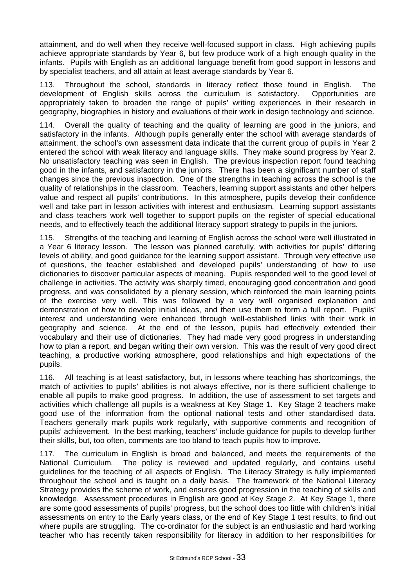attainment, and do well when they receive well-focused support in class. High achieving pupils achieve appropriate standards by Year 6, but few produce work of a high enough quality in the infants. Pupils with English as an additional language benefit from good support in lessons and by specialist teachers, and all attain at least average standards by Year 6.

113. Throughout the school, standards in literacy reflect those found in English. The development of English skills across the curriculum is satisfactory. Opportunities are appropriately taken to broaden the range of pupils' writing experiences in their research in geography, biographies in history and evaluations of their work in design technology and science.

114. Overall the quality of teaching and the quality of learning are good in the juniors, and satisfactory in the infants. Although pupils generally enter the school with average standards of attainment, the school's own assessment data indicate that the current group of pupils in Year 2 entered the school with weak literacy and language skills. They make sound progress by Year 2. No unsatisfactory teaching was seen in English. The previous inspection report found teaching good in the infants, and satisfactory in the juniors. There has been a significant number of staff changes since the previous inspection. One of the strengths in teaching across the school is the quality of relationships in the classroom. Teachers, learning support assistants and other helpers value and respect all pupils' contributions. In this atmosphere, pupils develop their confidence well and take part in lesson activities with interest and enthusiasm. Learning support assistants and class teachers work well together to support pupils on the register of special educational needs, and to effectively teach the additional literacy support strategy to pupils in the juniors.

115. Strengths of the teaching and learning of English across the school were well illustrated in a Year 6 literacy lesson. The lesson was planned carefully, with activities for pupils' differing levels of ability, and good guidance for the learning support assistant. Through very effective use of questions, the teacher established and developed pupils' understanding of how to use dictionaries to discover particular aspects of meaning. Pupils responded well to the good level of challenge in activities. The activity was sharply timed, encouraging good concentration and good progress, and was consolidated by a plenary session, which reinforced the main learning points of the exercise very well. This was followed by a very well organised explanation and demonstration of how to develop initial ideas, and then use them to form a full report. Pupils' interest and understanding were enhanced through well-established links with their work in geography and science. At the end of the lesson, pupils had effectively extended their vocabulary and their use of dictionaries. They had made very good progress in understanding how to plan a report, and began writing their own version. This was the result of very good direct teaching, a productive working atmosphere, good relationships and high expectations of the pupils.

116. All teaching is at least satisfactory, but, in lessons where teaching has shortcomings, the match of activities to pupils' abilities is not always effective, nor is there sufficient challenge to enable all pupils to make good progress. In addition, the use of assessment to set targets and activities which challenge all pupils is a weakness at Key Stage 1. Key Stage 2 teachers make good use of the information from the optional national tests and other standardised data. Teachers generally mark pupils work regularly, with supportive comments and recognition of pupils' achievement. In the best marking, teachers' include guidance for pupils to develop further their skills, but, too often, comments are too bland to teach pupils how to improve.

117. The curriculum in English is broad and balanced, and meets the requirements of the National Curriculum. The policy is reviewed and updated regularly, and contains useful guidelines for the teaching of all aspects of English. The Literacy Strategy is fully implemented throughout the school and is taught on a daily basis. The framework of the National Literacy Strategy provides the scheme of work, and ensures good progression in the teaching of skills and knowledge. Assessment procedures in English are good at Key Stage 2. At Key Stage 1, there are some good assessments of pupils' progress, but the school does too little with children's initial assessments on entry to the Early years class, or the end of Key Stage 1 test results, to find out where pupils are struggling. The co-ordinator for the subject is an enthusiastic and hard working teacher who has recently taken responsibility for literacy in addition to her responsibilities for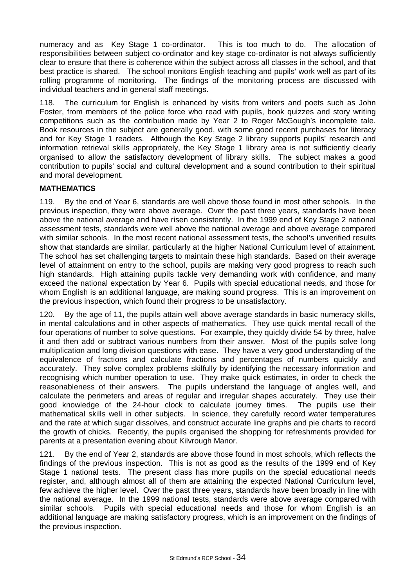numeracy and as Key Stage 1 co-ordinator. This is too much to do. The allocation of responsibilities between subject co-ordinator and key stage co-ordinator is not always sufficiently clear to ensure that there is coherence within the subject across all classes in the school, and that best practice is shared. The school monitors English teaching and pupils' work well as part of its rolling programme of monitoring. The findings of the monitoring process are discussed with individual teachers and in general staff meetings.

118. The curriculum for English is enhanced by visits from writers and poets such as John Foster, from members of the police force who read with pupils, book quizzes and story writing competitions such as the contribution made by Year 2 to Roger McGough's incomplete tale. Book resources in the subject are generally good, with some good recent purchases for literacy and for Key Stage 1 readers. Although the Key Stage 2 library supports pupils' research and information retrieval skills appropriately, the Key Stage 1 library area is not sufficiently clearly organised to allow the satisfactory development of library skills. The subject makes a good contribution to pupils' social and cultural development and a sound contribution to their spiritual and moral development.

# **MATHEMATICS**

119. By the end of Year 6, standards are well above those found in most other schools. In the previous inspection, they were above average. Over the past three years, standards have been above the national average and have risen consistently. In the 1999 end of Key Stage 2 national assessment tests, standards were well above the national average and above average compared with similar schools. In the most recent national assessment tests, the school's unverified results show that standards are similar, particularly at the higher National Curriculum level of attainment. The school has set challenging targets to maintain these high standards. Based on their average level of attainment on entry to the school, pupils are making very good progress to reach such high standards. High attaining pupils tackle very demanding work with confidence, and many exceed the national expectation by Year 6. Pupils with special educational needs, and those for whom English is an additional language, are making sound progress. This is an improvement on the previous inspection, which found their progress to be unsatisfactory.

120. By the age of 11, the pupils attain well above average standards in basic numeracy skills, in mental calculations and in other aspects of mathematics. They use quick mental recall of the four operations of number to solve questions. For example, they quickly divide 54 by three, halve it and then add or subtract various numbers from their answer. Most of the pupils solve long multiplication and long division questions with ease. They have a very good understanding of the equivalence of fractions and calculate fractions and percentages of numbers quickly and accurately. They solve complex problems skilfully by identifying the necessary information and recognising which number operation to use. They make quick estimates, in order to check the reasonableness of their answers. The pupils understand the language of angles well, and calculate the perimeters and areas of regular and irregular shapes accurately. They use their good knowledge of the 24-hour clock to calculate journey times. The pupils use their mathematical skills well in other subjects. In science, they carefully record water temperatures and the rate at which sugar dissolves, and construct accurate line graphs and pie charts to record the growth of chicks. Recently, the pupils organised the shopping for refreshments provided for parents at a presentation evening about Kilvrough Manor.

121. By the end of Year 2, standards are above those found in most schools, which reflects the findings of the previous inspection. This is not as good as the results of the 1999 end of Key Stage 1 national tests. The present class has more pupils on the special educational needs register, and, although almost all of them are attaining the expected National Curriculum level, few achieve the higher level. Over the past three years, standards have been broadly in line with the national average. In the 1999 national tests, standards were above average compared with similar schools. Pupils with special educational needs and those for whom English is an additional language are making satisfactory progress, which is an improvement on the findings of the previous inspection.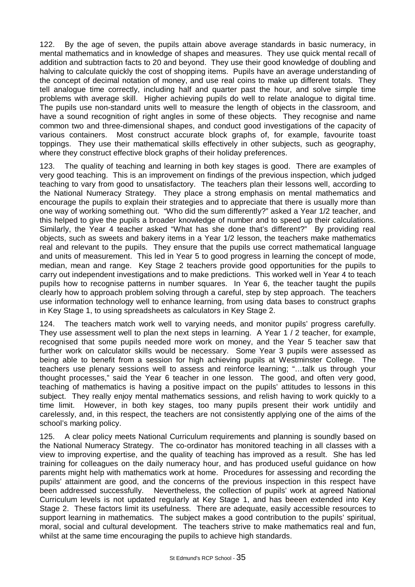122. By the age of seven, the pupils attain above average standards in basic numeracy, in mental mathematics and in knowledge of shapes and measures. They use quick mental recall of addition and subtraction facts to 20 and beyond. They use their good knowledge of doubling and halving to calculate quickly the cost of shopping items. Pupils have an average understanding of the concept of decimal notation of money, and use real coins to make up different totals. They tell analogue time correctly, including half and quarter past the hour, and solve simple time problems with average skill. Higher achieving pupils do well to relate analogue to digital time. The pupils use non-standard units well to measure the length of objects in the classroom, and have a sound recognition of right angles in some of these objects. They recognise and name common two and three-dimensional shapes, and conduct good investigations of the capacity of various containers. Most construct accurate block graphs of, for example, favourite toast toppings. They use their mathematical skills effectively in other subjects, such as geography, where they construct effective block graphs of their holiday preferences.

123. The quality of teaching and learning in both key stages is good. There are examples of very good teaching. This is an improvement on findings of the previous inspection, which judged teaching to vary from good to unsatisfactory. The teachers plan their lessons well, according to the National Numeracy Strategy. They place a strong emphasis on mental mathematics and encourage the pupils to explain their strategies and to appreciate that there is usually more than one way of working something out. "Who did the sum differently?" asked a Year 1/2 teacher, and this helped to give the pupils a broader knowledge of number and to speed up their calculations. Similarly, the Year 4 teacher asked "What has she done that's different?" By providing real objects, such as sweets and bakery items in a Year 1/2 lesson, the teachers make mathematics real and relevant to the pupils. They ensure that the pupils use correct mathematical language and units of measurement. This led in Year 5 to good progress in learning the concept of mode, median, mean and range. Key Stage 2 teachers provide good opportunities for the pupils to carry out independent investigations and to make predictions. This worked well in Year 4 to teach pupils how to recognise patterns in number squares. In Year 6, the teacher taught the pupils clearly how to approach problem solving through a careful, step by step approach. The teachers use information technology well to enhance learning, from using data bases to construct graphs in Key Stage 1, to using spreadsheets as calculators in Key Stage 2.

124. The teachers match work well to varying needs, and monitor pupils' progress carefully. They use assessment well to plan the next steps in learning. A Year 1 / 2 teacher, for example, recognised that some pupils needed more work on money, and the Year 5 teacher saw that further work on calculator skills would be necessary. Some Year 3 pupils were assessed as being able to benefit from a session for high achieving pupils at Westminster College. The teachers use plenary sessions well to assess and reinforce learning; "… talk us through your thought processes," said the Year 6 teacher in one lesson. The good, and often very good, teaching of mathematics is having a positive impact on the pupils' attitudes to lessons in this subject. They really enjoy mental mathematics sessions, and relish having to work quickly to a time limit. However, in both key stages, too many pupils present their work untidily and carelessly, and, in this respect, the teachers are not consistently applying one of the aims of the school's marking policy.

125. A clear policy meets National Curriculum requirements and planning is soundly based on the National Numeracy Strategy. The co-ordinator has monitored teaching in all classes with a view to improving expertise, and the quality of teaching has improved as a result. She has led training for colleagues on the daily numeracy hour, and has produced useful guidance on how parents might help with mathematics work at home. Procedures for assessing and recording the pupils' attainment are good, and the concerns of the previous inspection in this respect have been addressed successfully. Nevertheless, the collection of pupils' work at agreed National Curriculum levels is not updated regularly at Key Stage 1, and has beeen extended into Key Stage 2. These factors limit its usefulness. There are adequate, easily accessible resources to support learning in mathematics. The subject makes a good contribution to the pupils' spiritual, moral, social and cultural development. The teachers strive to make mathematics real and fun, whilst at the same time encouraging the pupils to achieve high standards.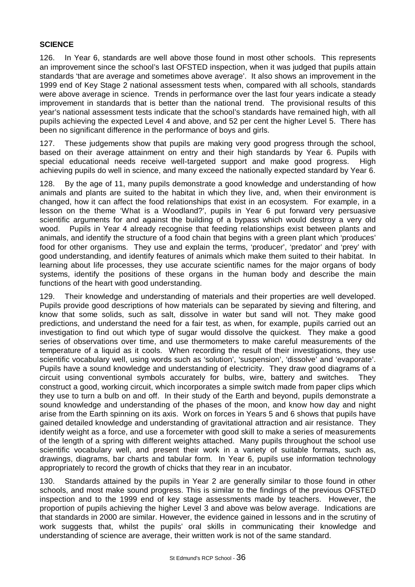# **SCIENCE**

126. In Year 6, standards are well above those found in most other schools. This represents an improvement since the school's last OFSTED inspection, when it was judged that pupils attain standards 'that are average and sometimes above average'. It also shows an improvement in the 1999 end of Key Stage 2 national assessment tests when, compared with all schools, standards were above average in science. Trends in performance over the last four years indicate a steady improvement in standards that is better than the national trend. The provisional results of this year's national assessment tests indicate that the school's standards have remained high, with all pupils achieving the expected Level 4 and above, and 52 per cent the higher Level 5. There has been no significant difference in the performance of boys and girls.

127. These judgements show that pupils are making very good progress through the school, based on their average attainment on entry and their high standards by Year 6. Pupils with special educational needs receive well-targeted support and make good progress. High achieving pupils do well in science, and many exceed the nationally expected standard by Year 6.

128. By the age of 11, many pupils demonstrate a good knowledge and understanding of how animals and plants are suited to the habitat in which they live, and, when their environment is changed, how it can affect the food relationships that exist in an ecosystem. For example, in a lesson on the theme 'What is a Woodland?', pupils in Year 6 put forward very persuasive scientific arguments for and against the building of a bypass which would destroy a very old wood. Pupils in Year 4 already recognise that feeding relationships exist between plants and animals, and identify the structure of a food chain that begins with a green plant which 'produces' food for other organisms. They use and explain the terms, 'producer', 'predator' and 'prey' with good understanding, and identify features of animals which make them suited to their habitat. In learning about life processes, they use accurate scientific names for the major organs of body systems, identify the positions of these organs in the human body and describe the main functions of the heart with good understanding.

129. Their knowledge and understanding of materials and their properties are well developed. Pupils provide good descriptions of how materials can be separated by sieving and filtering, and know that some solids, such as salt, dissolve in water but sand will not. They make good predictions, and understand the need for a fair test, as when, for example, pupils carried out an investigation to find out which type of sugar would dissolve the quickest. They make a good series of observations over time, and use thermometers to make careful measurements of the temperature of a liquid as it cools. When recording the result of their investigations, they use scientific vocabulary well, using words such as 'solution', 'suspension', 'dissolve' and 'evaporate'. Pupils have a sound knowledge and understanding of electricity. They draw good diagrams of a circuit using conventional symbols accurately for bulbs, wire, battery and switches. They construct a good, working circuit, which incorporates a simple switch made from paper clips which they use to turn a bulb on and off. In their study of the Earth and beyond, pupils demonstrate a sound knowledge and understanding of the phases of the moon, and know how day and night arise from the Earth spinning on its axis. Work on forces in Years 5 and 6 shows that pupils have gained detailed knowledge and understanding of gravitational attraction and air resistance. They identify weight as a force, and use a forcemeter with good skill to make a series of measurements of the length of a spring with different weights attached. Many pupils throughout the school use scientific vocabulary well, and present their work in a variety of suitable formats, such as, drawings, diagrams, bar charts and tabular form. In Year 6, pupils use information technology appropriately to record the growth of chicks that they rear in an incubator.

130. Standards attained by the pupils in Year 2 are generally similar to those found in other schools, and most make sound progress. This is similar to the findings of the previous OFSTED inspection and to the 1999 end of key stage assessments made by teachers. However, the proportion of pupils achieving the higher Level 3 and above was below average. Indications are that standards in 2000 are similar. However, the evidence gained in lessons and in the scrutiny of work suggests that, whilst the pupils' oral skills in communicating their knowledge and understanding of science are average, their written work is not of the same standard.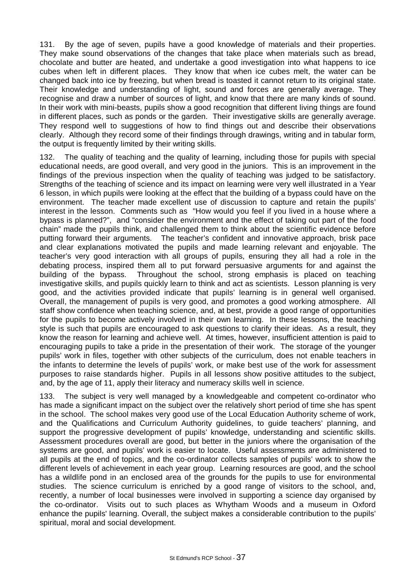131. By the age of seven, pupils have a good knowledge of materials and their properties. They make sound observations of the changes that take place when materials such as bread, chocolate and butter are heated, and undertake a good investigation into what happens to ice cubes when left in different places. They know that when ice cubes melt, the water can be changed back into ice by freezing, but when bread is toasted it cannot return to its original state. Their knowledge and understanding of light, sound and forces are generally average. They recognise and draw a number of sources of light, and know that there are many kinds of sound. In their work with mini-beasts, pupils show a good recognition that different living things are found in different places, such as ponds or the garden. Their investigative skills are generally average. They respond well to suggestions of how to find things out and describe their observations clearly. Although they record some of their findings through drawings, writing and in tabular form, the output is frequently limited by their writing skills.

132. The quality of teaching and the quality of learning, including those for pupils with special educational needs, are good overall, and very good in the juniors. This is an improvement in the findings of the previous inspection when the quality of teaching was judged to be satisfactory. Strengths of the teaching of science and its impact on learning were very well illustrated in a Year 6 lesson, in which pupils were looking at the effect that the building of a bypass could have on the environment. The teacher made excellent use of discussion to capture and retain the pupils' interest in the lesson. Comments such as "How would you feel if you lived in a house where a bypass is planned?", and "consider the environment and the effect of taking out part of the food chain" made the pupils think, and challenged them to think about the scientific evidence before putting forward their arguments. The teacher's confident and innovative approach, brisk pace and clear explanations motivated the pupils and made learning relevant and enjoyable. The teacher's very good interaction with all groups of pupils, ensuring they all had a role in the debating process, inspired them all to put forward persuasive arguments for and against the building of the bypass. Throughout the school, strong emphasis is placed on teaching investigative skills, and pupils quickly learn to think and act as scientists. Lesson planning is very good, and the activities provided indicate that pupils' learning is in general well organised. Overall, the management of pupils is very good, and promotes a good working atmosphere. All staff show confidence when teaching science, and, at best, provide a good range of opportunities for the pupils to become actively involved in their own learning. In these lessons, the teaching style is such that pupils are encouraged to ask questions to clarify their ideas. As a result, they know the reason for learning and achieve well. At times, however, insufficient attention is paid to encouraging pupils to take a pride in the presentation of their work. The storage of the younger pupils' work in files, together with other subjects of the curriculum, does not enable teachers in the infants to determine the levels of pupils' work, or make best use of the work for assessment purposes to raise standards higher. Pupils in all lessons show positive attitudes to the subject, and, by the age of 11, apply their literacy and numeracy skills well in science.

133. The subject is very well managed by a knowledgeable and competent co-ordinator who has made a significant impact on the subject over the relatively short period of time she has spent in the school. The school makes very good use of the Local Education Authority scheme of work, and the Qualifications and Curriculum Authority guidelines, to guide teachers' planning, and support the progressive development of pupils' knowledge, understanding and scientific skills. Assessment procedures overall are good, but better in the juniors where the organisation of the systems are good, and pupils' work is easier to locate. Useful assessments are administered to all pupils at the end of topics, and the co-ordinator collects samples of pupils' work to show the different levels of achievement in each year group. Learning resources are good, and the school has a wildlife pond in an enclosed area of the grounds for the pupils to use for environmental studies. The science curriculum is enriched by a good range of visitors to the school, and, recently, a number of local businesses were involved in supporting a science day organised by the co-ordinator. Visits out to such places as Whytham Woods and a museum in Oxford enhance the pupils' learning. Overall, the subject makes a considerable contribution to the pupils' spiritual, moral and social development.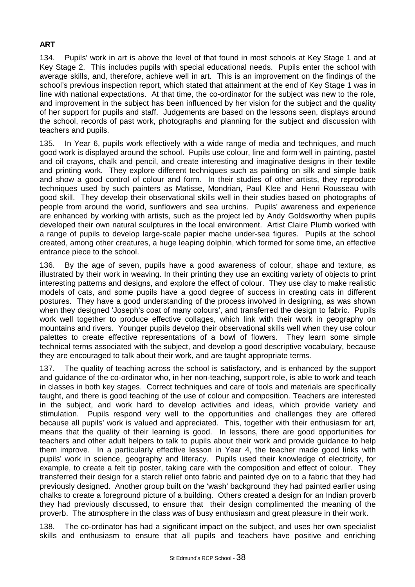# **ART**

134. Pupils' work in art is above the level of that found in most schools at Key Stage 1 and at Key Stage 2. This includes pupils with special educational needs. Pupils enter the school with average skills, and, therefore, achieve well in art. This is an improvement on the findings of the school's previous inspection report, which stated that attainment at the end of Key Stage 1 was in line with national expectations. At that time, the co-ordinator for the subject was new to the role, and improvement in the subject has been influenced by her vision for the subject and the quality of her support for pupils and staff. Judgements are based on the lessons seen, displays around the school, records of past work, photographs and planning for the subject and discussion with teachers and pupils.

135. In Year 6, pupils work effectively with a wide range of media and techniques, and much good work is displayed around the school. Pupils use colour, line and form well in painting, pastel and oil crayons, chalk and pencil, and create interesting and imaginative designs in their textile and printing work. They explore different techniques such as painting on silk and simple batik and show a good control of colour and form. In their studies of other artists, they reproduce techniques used by such painters as Matisse, Mondrian, Paul Klee and Henri Rousseau with good skill. They develop their observational skills well in their studies based on photographs of people from around the world, sunflowers and sea urchins. Pupils' awareness and experience are enhanced by working with artists, such as the project led by Andy Goldsworthy when pupils developed their own natural sculptures in the local environment. Artist Claire Plumb worked with a range of pupils to develop large-scale papier mache under-sea figures. Pupils at the school created, among other creatures, a huge leaping dolphin, which formed for some time, an effective entrance piece to the school.

136. By the age of seven, pupils have a good awareness of colour, shape and texture, as illustrated by their work in weaving. In their printing they use an exciting variety of objects to print interesting patterns and designs, and explore the effect of colour. They use clay to make realistic models of cats, and some pupils have a good degree of success in creating cats in different postures. They have a good understanding of the process involved in designing, as was shown when they designed 'Joseph's coat of many colours', and transferred the design to fabric. Pupils work well together to produce effective collages, which link with their work in geography on mountains and rivers. Younger pupils develop their observational skills well when they use colour palettes to create effective representations of a bowl of flowers. They learn some simple technical terms associated with the subject, and develop a good descriptive vocabulary, because they are encouraged to talk about their work, and are taught appropriate terms.

137. The quality of teaching across the school is satisfactory, and is enhanced by the support and guidance of the co-ordinator who, in her non-teaching, support role, is able to work and teach in classes in both key stages. Correct techniques and care of tools and materials are specifically taught, and there is good teaching of the use of colour and composition. Teachers are interested in the subject, and work hard to develop activities and ideas, which provide variety and stimulation. Pupils respond very well to the opportunities and challenges they are offered because all pupils' work is valued and appreciated. This, together with their enthusiasm for art, means that the quality of their learning is good. In lessons, there are good opportunities for teachers and other adult helpers to talk to pupils about their work and provide guidance to help them improve. In a particularly effective lesson in Year 4, the teacher made good links with pupils' work in science, geography and literacy. Pupils used their knowledge of electricity, for example, to create a felt tip poster, taking care with the composition and effect of colour. They transferred their design for a starch relief onto fabric and painted dye on to a fabric that they had previously designed. Another group built on the 'wash' background they had painted earlier using chalks to create a foreground picture of a building. Others created a design for an Indian proverb they had previously discussed, to ensure that their design complimented the meaning of the proverb. The atmosphere in the class was of busy enthusiasm and great pleasure in their work.

138. The co-ordinator has had a significant impact on the subject, and uses her own specialist skills and enthusiasm to ensure that all pupils and teachers have positive and enriching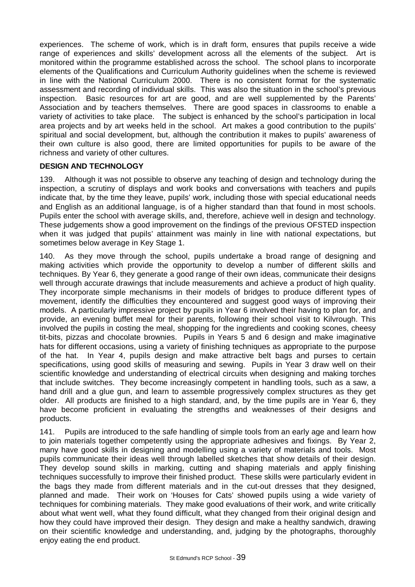experiences. The scheme of work, which is in draft form, ensures that pupils receive a wide range of experiences and skills' development across all the elements of the subject. Art is monitored within the programme established across the school. The school plans to incorporate elements of the Qualifications and Curriculum Authority guidelines when the scheme is reviewed in line with the National Curriculum 2000. There is no consistent format for the systematic assessment and recording of individual skills. This was also the situation in the school's previous inspection. Basic resources for art are good, and are well supplemented by the Parents' Association and by teachers themselves. There are good spaces in classrooms to enable a variety of activities to take place. The subject is enhanced by the school's participation in local area projects and by art weeks held in the school. Art makes a good contribution to the pupils' spiritual and social development, but, although the contribution it makes to pupils' awareness of their own culture is also good, there are limited opportunities for pupils to be aware of the richness and variety of other cultures.

# **DESIGN AND TECHNOLOGY**

139. Although it was not possible to observe any teaching of design and technology during the inspection, a scrutiny of displays and work books and conversations with teachers and pupils indicate that, by the time they leave, pupils' work, including those with special educational needs and English as an additional language, is of a higher standard than that found in most schools. Pupils enter the school with average skills, and, therefore, achieve well in design and technology. These judgements show a good improvement on the findings of the previous OFSTED inspection when it was judged that pupils' attainment was mainly in line with national expectations, but sometimes below average in Key Stage 1.

140. As they move through the school, pupils undertake a broad range of designing and making activities which provide the opportunity to develop a number of different skills and techniques. By Year 6, they generate a good range of their own ideas, communicate their designs well through accurate drawings that include measurements and achieve a product of high quality. They incorporate simple mechanisms in their models of bridges to produce different types of movement, identify the difficulties they encountered and suggest good ways of improving their models. A particularly impressive project by pupils in Year 6 involved their having to plan for, and provide, an evening buffet meal for their parents, following their school visit to Kilvrough. This involved the pupils in costing the meal, shopping for the ingredients and cooking scones, cheesy tit-bits, pizzas and chocolate brownies. Pupils in Years 5 and 6 design and make imaginative hats for different occasions, using a variety of finishing techniques as appropriate to the purpose of the hat. In Year 4, pupils design and make attractive belt bags and purses to certain specifications, using good skills of measuring and sewing. Pupils in Year 3 draw well on their scientific knowledge and understanding of electrical circuits when designing and making torches that include switches. They become increasingly competent in handling tools, such as a saw, a hand drill and a glue gun, and learn to assemble progressively complex structures as they get older. All products are finished to a high standard, and, by the time pupils are in Year 6, they have become proficient in evaluating the strengths and weaknesses of their designs and products.

141. Pupils are introduced to the safe handling of simple tools from an early age and learn how to join materials together competently using the appropriate adhesives and fixings. By Year 2, many have good skills in designing and modelling using a variety of materials and tools. Most pupils communicate their ideas well through labelled sketches that show details of their design. They develop sound skills in marking, cutting and shaping materials and apply finishing techniques successfully to improve their finished product. These skills were particularly evident in the bags they made from different materials and in the cut-out dresses that they designed, planned and made. Their work on 'Houses for Cats' showed pupils using a wide variety of techniques for combining materials. They make good evaluations of their work, and write critically about what went well, what they found difficult, what they changed from their original design and how they could have improved their design. They design and make a healthy sandwich, drawing on their scientific knowledge and understanding, and, judging by the photographs, thoroughly enjoy eating the end product.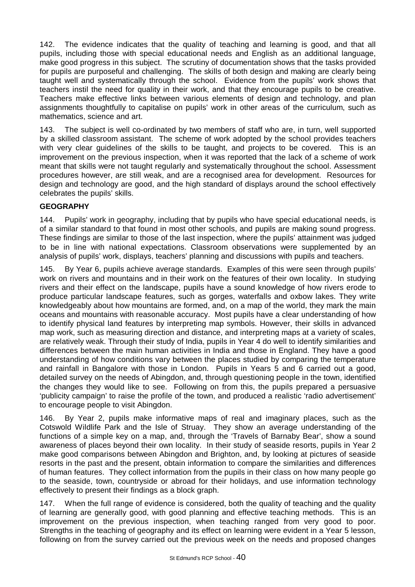142. The evidence indicates that the quality of teaching and learning is good, and that all pupils, including those with special educational needs and English as an additional language, make good progress in this subject. The scrutiny of documentation shows that the tasks provided for pupils are purposeful and challenging. The skills of both design and making are clearly being taught well and systematically through the school. Evidence from the pupils' work shows that teachers instil the need for quality in their work, and that they encourage pupils to be creative. Teachers make effective links between various elements of design and technology, and plan assignments thoughtfully to capitalise on pupils' work in other areas of the curriculum, such as mathematics, science and art.

143. The subject is well co-ordinated by two members of staff who are, in turn, well supported by a skilled classroom assistant. The scheme of work adopted by the school provides teachers with very clear guidelines of the skills to be taught, and projects to be covered. This is an improvement on the previous inspection, when it was reported that the lack of a scheme of work meant that skills were not taught regularly and systematically throughout the school. Assessment procedures however, are still weak, and are a recognised area for development. Resources for design and technology are good, and the high standard of displays around the school effectively celebrates the pupils' skills.

# **GEOGRAPHY**

144. Pupils' work in geography, including that by pupils who have special educational needs, is of a similar standard to that found in most other schools, and pupils are making sound progress. These findings are similar to those of the last inspection, where the pupils' attainment was judged to be in line with national expectations. Classroom observations were supplemented by an analysis of pupils' work, displays, teachers' planning and discussions with pupils and teachers.

145. By Year 6, pupils achieve average standards. Examples of this were seen through pupils' work on rivers and mountains and in their work on the features of their own locality. In studying rivers and their effect on the landscape, pupils have a sound knowledge of how rivers erode to produce particular landscape features, such as gorges, waterfalls and oxbow lakes. They write knowledgeably about how mountains are formed, and, on a map of the world, they mark the main oceans and mountains with reasonable accuracy. Most pupils have a clear understanding of how to identify physical land features by interpreting map symbols. However, their skills in advanced map work, such as measuring direction and distance, and interpreting maps at a variety of scales, are relatively weak. Through their study of India, pupils in Year 4 do well to identify similarities and differences between the main human activities in India and those in England. They have a good understanding of how conditions vary between the places studied by comparing the temperature and rainfall in Bangalore with those in London. Pupils in Years 5 and 6 carried out a good, detailed survey on the needs of Abingdon, and, through questioning people in the town, identified the changes they would like to see. Following on from this, the pupils prepared a persuasive 'publicity campaign' to raise the profile of the town, and produced a realistic 'radio advertisement' to encourage people to visit Abingdon.

146. By Year 2, pupils make informative maps of real and imaginary places, such as the Cotswold Wildlife Park and the Isle of Struay. They show an average understanding of the functions of a simple key on a map, and, through the 'Travels of Barnaby Bear', show a sound awareness of places beyond their own locality. In their study of seaside resorts, pupils in Year 2 make good comparisons between Abingdon and Brighton, and, by looking at pictures of seaside resorts in the past and the present, obtain information to compare the similarities and differences of human features. They collect information from the pupils in their class on how many people go to the seaside, town, countryside or abroad for their holidays, and use information technology effectively to present their findings as a block graph.

147. When the full range of evidence is considered, both the quality of teaching and the quality of learning are generally good, with good planning and effective teaching methods. This is an improvement on the previous inspection, when teaching ranged from very good to poor. Strengths in the teaching of geography and its effect on learning were evident in a Year 5 lesson, following on from the survey carried out the previous week on the needs and proposed changes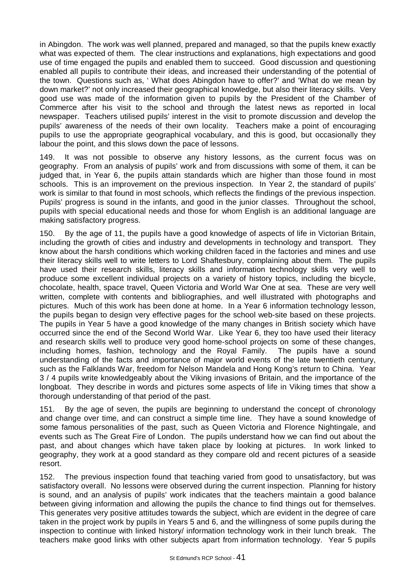in Abingdon. The work was well planned, prepared and managed, so that the pupils knew exactly what was expected of them. The clear instructions and explanations, high expectations and good use of time engaged the pupils and enabled them to succeed. Good discussion and questioning enabled all pupils to contribute their ideas, and increased their understanding of the potential of the town. Questions such as, ' What does Abingdon have to offer?' and 'What do we mean by down market?' not only increased their geographical knowledge, but also their literacy skills. Very good use was made of the information given to pupils by the President of the Chamber of Commerce after his visit to the school and through the latest news as reported in local newspaper. Teachers utilised pupils' interest in the visit to promote discussion and develop the pupils' awareness of the needs of their own locality. Teachers make a point of encouraging pupils to use the appropriate geographical vocabulary, and this is good, but occasionally they labour the point, and this slows down the pace of lessons.

149. It was not possible to observe any history lessons, as the current focus was on geography. From an analysis of pupils' work and from discussions with some of them, it can be judged that, in Year 6, the pupils attain standards which are higher than those found in most schools. This is an improvement on the previous inspection. In Year 2, the standard of pupils' work is similar to that found in most schools, which reflects the findings of the previous inspection. Pupils' progress is sound in the infants, and good in the junior classes. Throughout the school, pupils with special educational needs and those for whom English is an additional language are making satisfactory progress.

150. By the age of 11, the pupils have a good knowledge of aspects of life in Victorian Britain, including the growth of cities and industry and developments in technology and transport. They know about the harsh conditions which working children faced in the factories and mines and use their literacy skills well to write letters to Lord Shaftesbury, complaining about them. The pupils have used their research skills, literacy skills and information technology skills very well to produce some excellent individual projects on a variety of history topics, including the bicycle, chocolate, health, space travel, Queen Victoria and World War One at sea. These are very well written, complete with contents and bibliographies, and well illustrated with photographs and pictures. Much of this work has been done at home. In a Year 6 information technology lesson, the pupils began to design very effective pages for the school web-site based on these projects. The pupils in Year 5 have a good knowledge of the many changes in British society which have occurred since the end of the Second World War. Like Year 6, they too have used their literacy and research skills well to produce very good home-school projects on some of these changes, including homes, fashion, technology and the Royal Family. The pupils have a sound understanding of the facts and importance of major world events of the late twentieth century, such as the Falklands War, freedom for Nelson Mandela and Hong Kong's return to China. Year 3 / 4 pupils write knowledgeably about the Viking invasions of Britain, and the importance of the longboat. They describe in words and pictures some aspects of life in Viking times that show a thorough understanding of that period of the past.

151. By the age of seven, the pupils are beginning to understand the concept of chronology and change over time, and can construct a simple time line. They have a sound knowledge of some famous personalities of the past, such as Queen Victoria and Florence Nightingale, and events such as The Great Fire of London. The pupils understand how we can find out about the past, and about changes which have taken place by looking at pictures. In work linked to geography, they work at a good standard as they compare old and recent pictures of a seaside resort.

152. The previous inspection found that teaching varied from good to unsatisfactory, but was satisfactory overall. No lessons were observed during the current inspection. Planning for history is sound, and an analysis of pupils' work indicates that the teachers maintain a good balance between giving information and allowing the pupils the chance to find things out for themselves. This generates very positive attitudes towards the subject, which are evident in the degree of care taken in the project work by pupils in Years 5 and 6, and the willingness of some pupils during the inspection to continue with linked history/ information technology work in their lunch break. The teachers make good links with other subjects apart from information technology. Year 5 pupils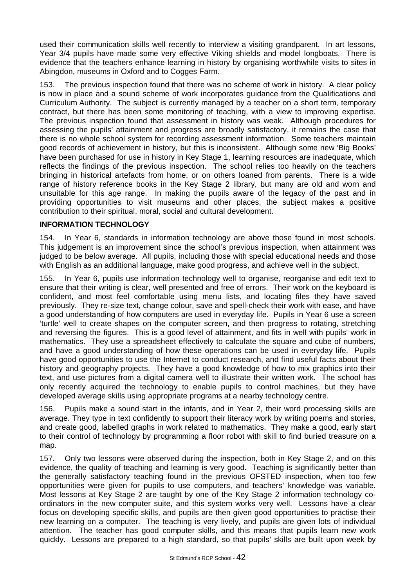used their communication skills well recently to interview a visiting grandparent. In art lessons, Year 3/4 pupils have made some very effective Viking shields and model longboats. There is evidence that the teachers enhance learning in history by organising worthwhile visits to sites in Abingdon, museums in Oxford and to Cogges Farm.

153. The previous inspection found that there was no scheme of work in history. A clear policy is now in place and a sound scheme of work incorporates guidance from the Qualifications and Curriculum Authority. The subject is currently managed by a teacher on a short term, temporary contract, but there has been some monitoring of teaching, with a view to improving expertise. The previous inspection found that assessment in history was weak. Although procedures for assessing the pupils' attainment and progress are broadly satisfactory, it remains the case that there is no whole school system for recording assessment information. Some teachers maintain good records of achievement in history, but this is inconsistent. Although some new 'Big Books' have been purchased for use in history in Key Stage 1, learning resources are inadequate, which reflects the findings of the previous inspection. The school relies too heavily on the teachers bringing in historical artefacts from home, or on others loaned from parents. There is a wide range of history reference books in the Key Stage 2 library, but many are old and worn and unsuitable for this age range. In making the pupils aware of the legacy of the past and in providing opportunities to visit museums and other places, the subject makes a positive contribution to their spiritual, moral, social and cultural development.

# **INFORMATION TECHNOLOGY**

154. In Year 6, standards in information technology are above those found in most schools. This judgement is an improvement since the school's previous inspection, when attainment was judged to be below average. All pupils, including those with special educational needs and those with English as an additional language, make good progress, and achieve well in the subject.

155. In Year 6, pupils use information technology well to organise, reorganise and edit text to ensure that their writing is clear, well presented and free of errors. Their work on the keyboard is confident, and most feel comfortable using menu lists, and locating files they have saved previously. They re-size text, change colour, save and spell-check their work with ease, and have a good understanding of how computers are used in everyday life. Pupils in Year 6 use a screen 'turtle' well to create shapes on the computer screen, and then progress to rotating, stretching and reversing the figures. This is a good level of attainment, and fits in well with pupils' work in mathematics. They use a spreadsheet effectively to calculate the square and cube of numbers, and have a good understanding of how these operations can be used in everyday life. Pupils have good opportunities to use the Internet to conduct research, and find useful facts about their history and geography projects. They have a good knowledge of how to mix graphics into their text, and use pictures from a digital camera well to illustrate their written work. The school has only recently acquired the technology to enable pupils to control machines, but they have developed average skills using appropriate programs at a nearby technology centre.

156. Pupils make a sound start in the infants, and in Year 2, their word processing skills are average. They type in text confidently to support their literacy work by writing poems and stories, and create good, labelled graphs in work related to mathematics. They make a good, early start to their control of technology by programming a floor robot with skill to find buried treasure on a map.

157. Only two lessons were observed during the inspection, both in Key Stage 2, and on this evidence, the quality of teaching and learning is very good. Teaching is significantly better than the generally satisfactory teaching found in the previous OFSTED inspection, when too few opportunities were given for pupils to use computers, and teachers' knowledge was variable. Most lessons at Key Stage 2 are taught by one of the Key Stage 2 information technology coordinators in the new computer suite, and this system works very well. Lessons have a clear focus on developing specific skills, and pupils are then given good opportunities to practise their new learning on a computer. The teaching is very lively, and pupils are given lots of individual attention. The teacher has good computer skills, and this means that pupils learn new work quickly. Lessons are prepared to a high standard, so that pupils' skills are built upon week by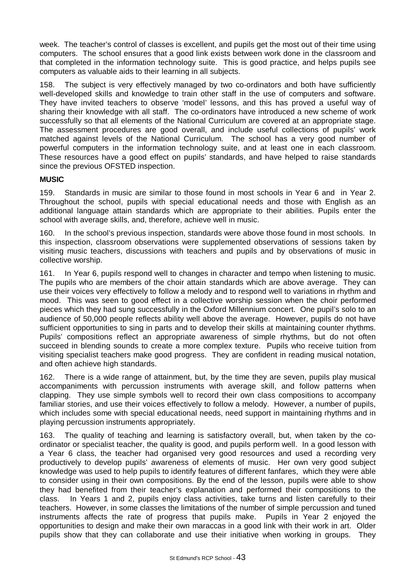week. The teacher's control of classes is excellent, and pupils get the most out of their time using computers. The school ensures that a good link exists between work done in the classroom and that completed in the information technology suite. This is good practice, and helps pupils see computers as valuable aids to their learning in all subjects.

158. The subject is very effectively managed by two co-ordinators and both have sufficiently well-developed skills and knowledge to train other staff in the use of computers and software. They have invited teachers to observe 'model' lessons, and this has proved a useful way of sharing their knowledge with all staff. The co-ordinators have introduced a new scheme of work successfully so that all elements of the National Curriculum are covered at an appropriate stage. The assessment procedures are good overall, and include useful collections of pupils' work matched against levels of the National Curriculum. The school has a very good number of powerful computers in the information technology suite, and at least one in each classroom. These resources have a good effect on pupils' standards, and have helped to raise standards since the previous OFSTED inspection.

# **MUSIC**

159. Standards in music are similar to those found in most schools in Year 6 and in Year 2. Throughout the school, pupils with special educational needs and those with English as an additional language attain standards which are appropriate to their abilities. Pupils enter the school with average skills, and, therefore, achieve well in music.

160. In the school's previous inspection, standards were above those found in most schools. In this inspection, classroom observations were supplemented observations of sessions taken by visiting music teachers, discussions with teachers and pupils and by observations of music in collective worship.

161. In Year 6, pupils respond well to changes in character and tempo when listening to music. The pupils who are members of the choir attain standards which are above average. They can use their voices very effectively to follow a melody and to respond well to variations in rhythm and mood. This was seen to good effect in a collective worship session when the choir performed pieces which they had sung successfully in the Oxford Millennium concert. One pupil's solo to an audience of 50,000 people reflects ability well above the average. However, pupils do not have sufficient opportunities to sing in parts and to develop their skills at maintaining counter rhythms. Pupils' compositions reflect an appropriate awareness of simple rhythms, but do not often succeed in blending sounds to create a more complex texture. Pupils who receive tuition from visiting specialist teachers make good progress. They are confident in reading musical notation, and often achieve high standards.

162. There is a wide range of attainment, but, by the time they are seven, pupils play musical accompaniments with percussion instruments with average skill, and follow patterns when clapping. They use simple symbols well to record their own class compositions to accompany familiar stories, and use their voices effectively to follow a melody. However, a number of pupils, which includes some with special educational needs, need support in maintaining rhythms and in playing percussion instruments appropriately.

163. The quality of teaching and learning is satisfactory overall, but, when taken by the coordinator or specialist teacher, the quality is good, and pupils perform well. In a good lesson with a Year 6 class, the teacher had organised very good resources and used a recording very productively to develop pupils' awareness of elements of music. Her own very good subject knowledge was used to help pupils to identify features of different fanfares, which they were able to consider using in their own compositions. By the end of the lesson, pupils were able to show they had benefited from their teacher's explanation and performed their compositions to the class. In Years 1 and 2, pupils enjoy class activities, take turns and listen carefully to their teachers. However, in some classes the limitations of the number of simple percussion and tuned instruments affects the rate of progress that pupils make. Pupils in Year 2 enjoyed the opportunities to design and make their own maraccas in a good link with their work in art. Older pupils show that they can collaborate and use their initiative when working in groups. They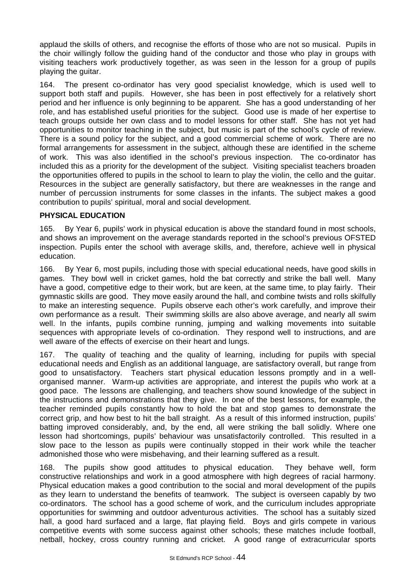applaud the skills of others, and recognise the efforts of those who are not so musical. Pupils in the choir willingly follow the guiding hand of the conductor and those who play in groups with visiting teachers work productively together, as was seen in the lesson for a group of pupils playing the guitar.

164. The present co-ordinator has very good specialist knowledge, which is used well to support both staff and pupils. However, she has been in post effectively for a relatively short period and her influence is only beginning to be apparent. She has a good understanding of her role, and has established useful priorities for the subject. Good use is made of her expertise to teach groups outside her own class and to model lessons for other staff. She has not yet had opportunities to monitor teaching in the subject, but music is part of the school's cycle of review. There is a sound policy for the subject, and a good commercial scheme of work. There are no formal arrangements for assessment in the subject, although these are identified in the scheme of work. This was also identified in the school's previous inspection. The co-ordinator has included this as a priority for the development of the subject. Visiting specialist teachers broaden the opportunities offered to pupils in the school to learn to play the violin, the cello and the guitar. Resources in the subject are generally satisfactory, but there are weaknesses in the range and number of percussion instruments for some classes in the infants. The subject makes a good contribution to pupils' spiritual, moral and social development.

# **PHYSICAL EDUCATION**

165. By Year 6, pupils' work in physical education is above the standard found in most schools, and shows an improvement on the average standards reported in the school's previous OFSTED inspection. Pupils enter the school with average skills, and, therefore, achieve well in physical education.

166. By Year 6, most pupils, including those with special educational needs, have good skills in games. They bowl well in cricket games, hold the bat correctly and strike the ball well. Many have a good, competitive edge to their work, but are keen, at the same time, to play fairly. Their gymnastic skills are good. They move easily around the hall, and combine twists and rolls skilfully to make an interesting sequence. Pupils observe each other's work carefully, and improve their own performance as a result. Their swimming skills are also above average, and nearly all swim well. In the infants, pupils combine running, jumping and walking movements into suitable sequences with appropriate levels of co-ordination. They respond well to instructions, and are well aware of the effects of exercise on their heart and lungs.

167. The quality of teaching and the quality of learning, including for pupils with special educational needs and English as an additional language, are satisfactory overall, but range from good to unsatisfactory. Teachers start physical education lessons promptly and in a wellorganised manner. Warm-up activities are appropriate, and interest the pupils who work at a good pace. The lessons are challenging, and teachers show sound knowledge of the subject in the instructions and demonstrations that they give. In one of the best lessons, for example, the teacher reminded pupils constantly how to hold the bat and stop games to demonstrate the correct grip, and how best to hit the ball straight. As a result of this informed instruction, pupils' batting improved considerably, and, by the end, all were striking the ball solidly. Where one lesson had shortcomings, pupils' behaviour was unsatisfactorily controlled. This resulted in a slow pace to the lesson as pupils were continually stopped in their work while the teacher admonished those who were misbehaving, and their learning suffered as a result.

168. The pupils show good attitudes to physical education. They behave well, form constructive relationships and work in a good atmosphere with high degrees of racial harmony. Physical education makes a good contribution to the social and moral development of the pupils as they learn to understand the benefits of teamwork. The subject is overseen capably by two co-ordinators. The school has a good scheme of work, and the curriculum includes appropriate opportunities for swimming and outdoor adventurous activities. The school has a suitably sized hall, a good hard surfaced and a large, flat playing field. Boys and girls compete in various competitive events with some success against other schools; these matches include football, netball, hockey, cross country running and cricket. A good range of extracurricular sports